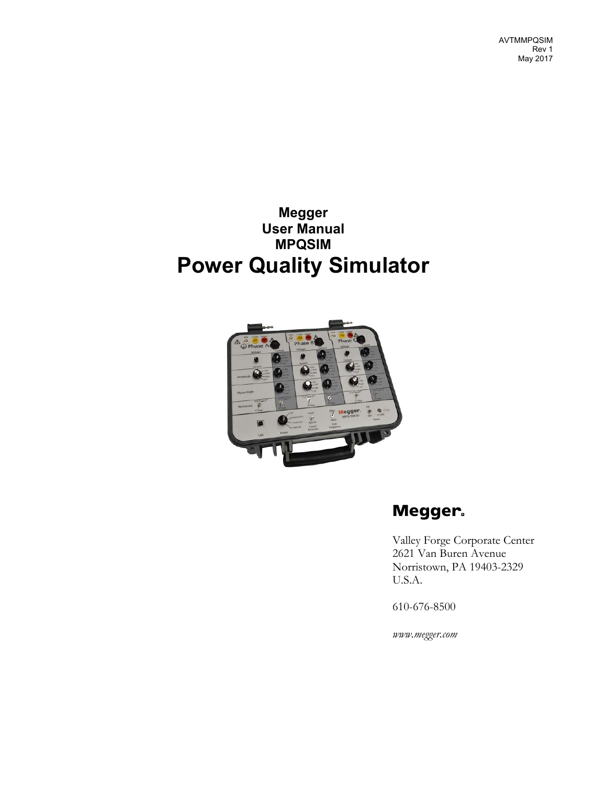AVTMMPQSIM Rev 1 May 2017

## **Megger User Manual MPQSIM Power Quality Simulator**



## **Megger**.

Valley Forge Corporate Center 2621 Van Buren Avenue Norristown, PA 19403-2329 U.S.A.

610-676-8500

*www.megger.com*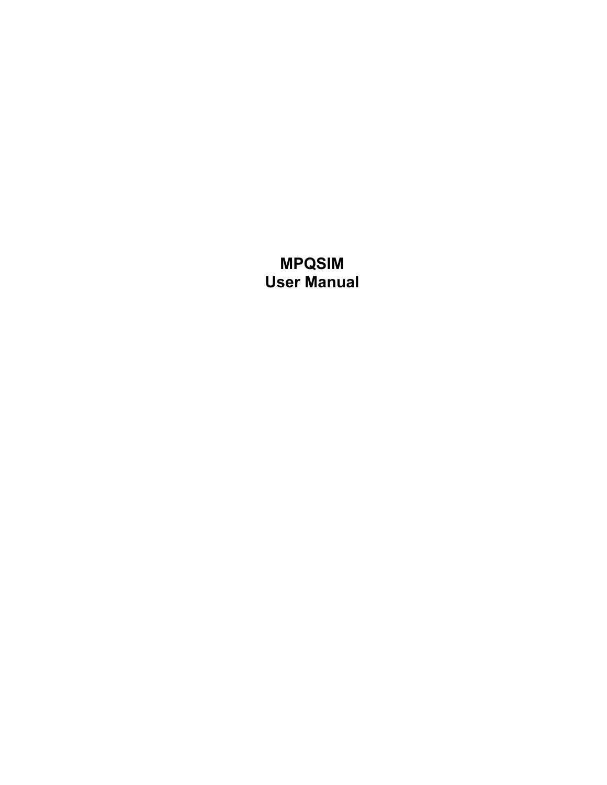## **MPQSIM User Manual**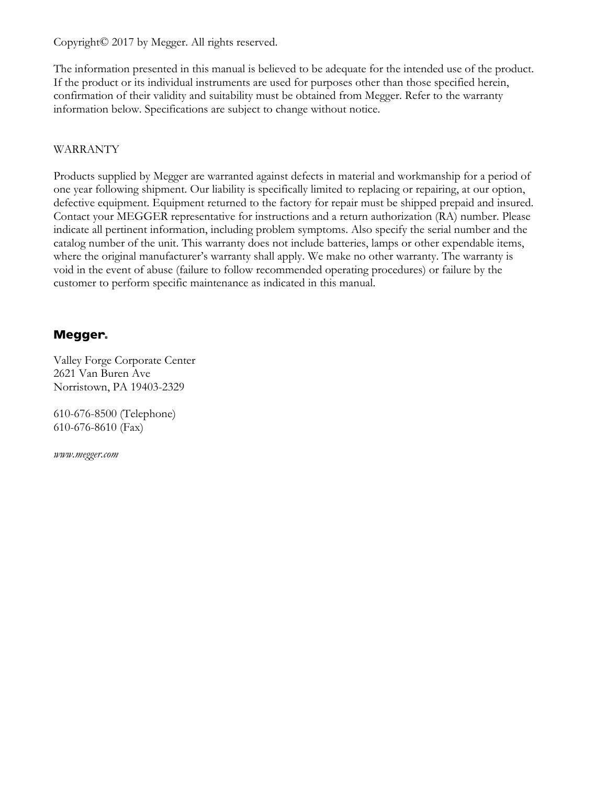Copyright© 2017 by Megger. All rights reserved.

The information presented in this manual is believed to be adequate for the intended use of the product. If the product or its individual instruments are used for purposes other than those specified herein, confirmation of their validity and suitability must be obtained from Megger. Refer to the warranty information below. Specifications are subject to change without notice.

#### WARRANTY

Products supplied by Megger are warranted against defects in material and workmanship for a period of one year following shipment. Our liability is specifically limited to replacing or repairing, at our option, defective equipment. Equipment returned to the factory for repair must be shipped prepaid and insured. Contact your MEGGER representative for instructions and a return authorization (RA) number. Please indicate all pertinent information, including problem symptoms. Also specify the serial number and the catalog number of the unit. This warranty does not include batteries, lamps or other expendable items, where the original manufacturer's warranty shall apply. We make no other warranty. The warranty is void in the event of abuse (failure to follow recommended operating procedures) or failure by the customer to perform specific maintenance as indicated in this manual.

#### Megger.

Valley Forge Corporate Center 2621 Van Buren Ave Norristown, PA 19403-2329

610-676-8500 (Telephone) 610-676-8610 (Fax)

*www.megger.com*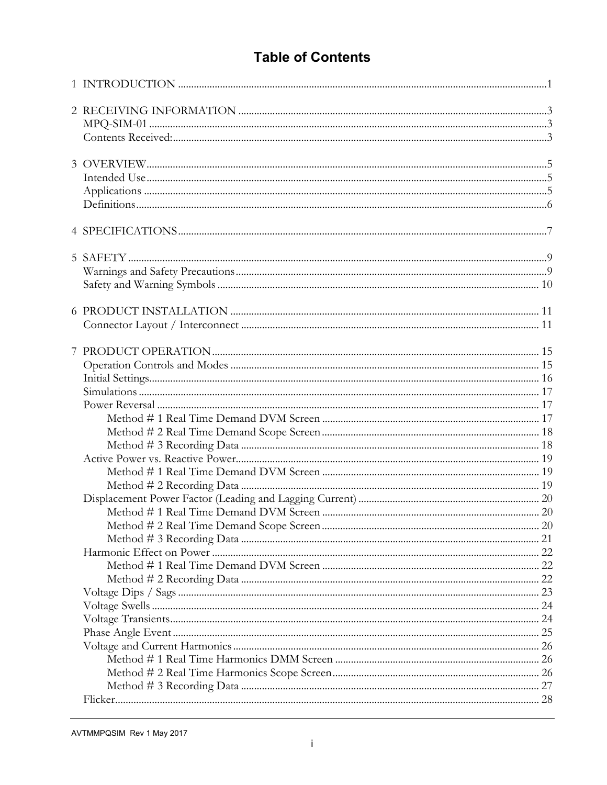## **Table of Contents**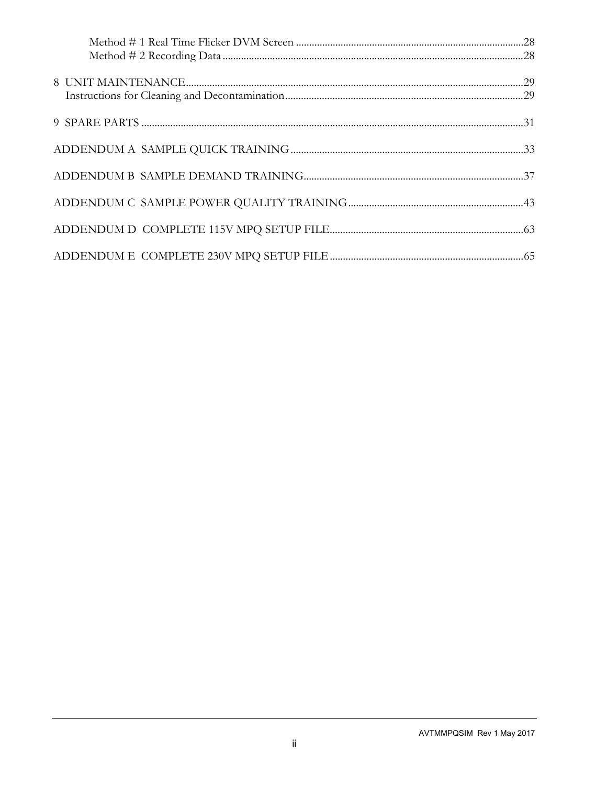| ${\large \bf ADDENDUM\ E\ COMPLETE\ 230V\ MPQ\ SET UP\ FILE\  \  \, \ldots\  \  \, \ldots\  \  \, \ldots\  \  \, \ldots\  \  \, \ldots\  \  \, \ldots\  \  \, \ldots\  \  \, \ldots\  \  \, \ldots\  \  \, \ldots\  \  \, \ldots\  \  \, \ldots\  \  \, \ldots\  \  \, \ldots\  \  \, \ldots\  \  \, \ldots\  \  \, \ldots\  \  \, \ldots\  \  \, \ldots\  \  \, \ldots\  \  \, \ldots\  \$ |  |
|---------------------------------------------------------------------------------------------------------------------------------------------------------------------------------------------------------------------------------------------------------------------------------------------------------------------------------------------------------------------------------------------|--|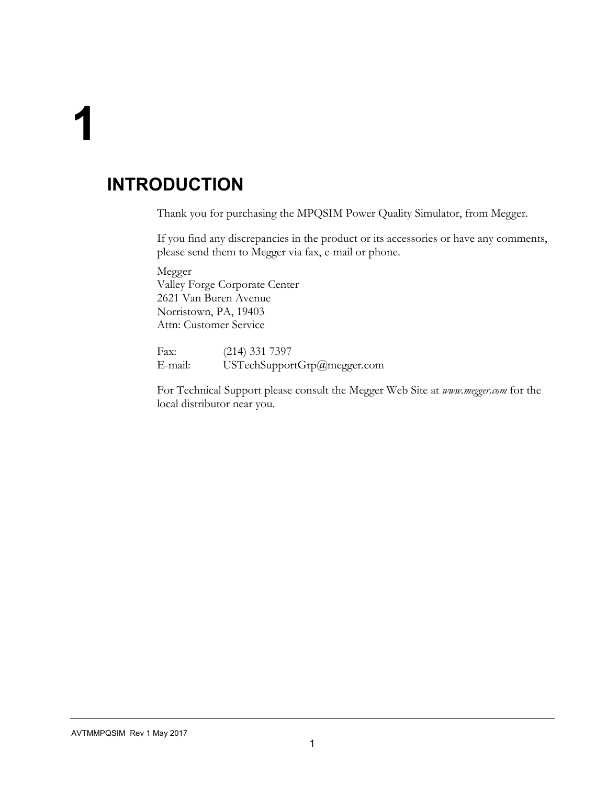## **INTRODUCTION**

Thank you for purchasing the MPQSIM Power Quality Simulator, from Megger.

If you find any discrepancies in the product or its accessories or have any comments, please send them to Megger via fax, e-mail or phone.

Megger Valley Forge Corporate Center 2621 Van Buren Avenue Norristown, PA, 19403 Attn: Customer Service

Fax: (214) 331 7397 E-mail: USTechSupportGrp@megger.com

For Technical Support please consult the Megger Web Site at *www.megger.com* for the local distributor near you.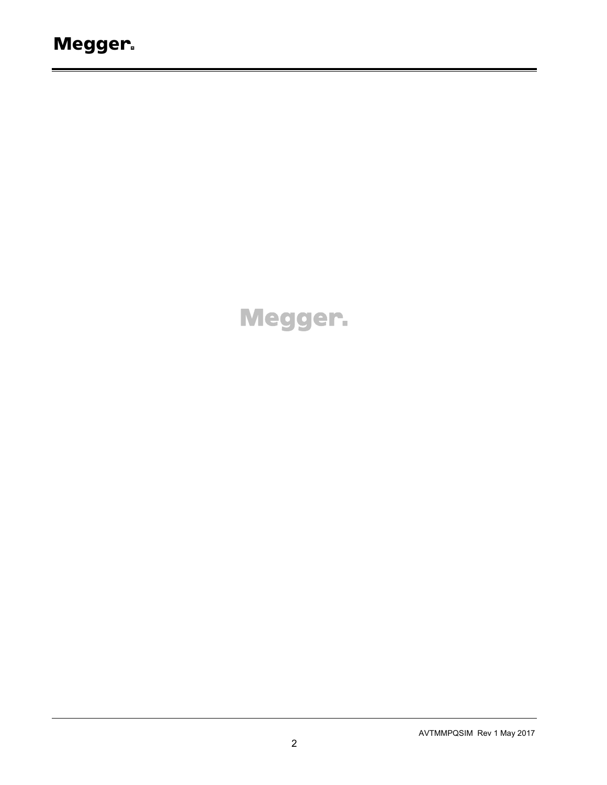# Megger.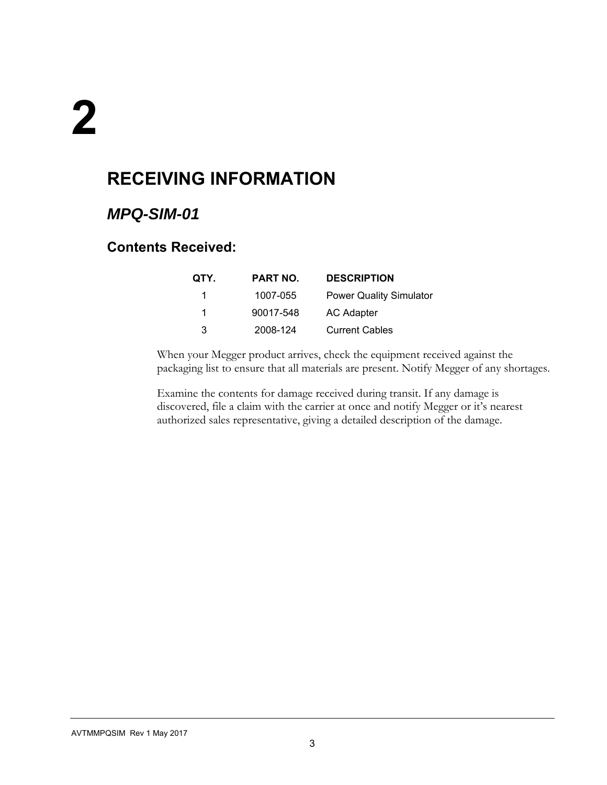## **RECEIVING INFORMATION**

*MPQ-SIM-01* 

#### **Contents Received:**

| QTY. | <b>PART NO.</b> | <b>DESCRIPTION</b>             |
|------|-----------------|--------------------------------|
| 1    | 1007-055        | <b>Power Quality Simulator</b> |
| 1    | 90017-548       | <b>AC Adapter</b>              |
| 3    | 2008-124        | <b>Current Cables</b>          |

When your Megger product arrives, check the equipment received against the packaging list to ensure that all materials are present. Notify Megger of any shortages.

Examine the contents for damage received during transit. If any damage is discovered, file a claim with the carrier at once and notify Megger or it's nearest authorized sales representative, giving a detailed description of the damage.

AVTMMPQSIM Rev 1 May 2017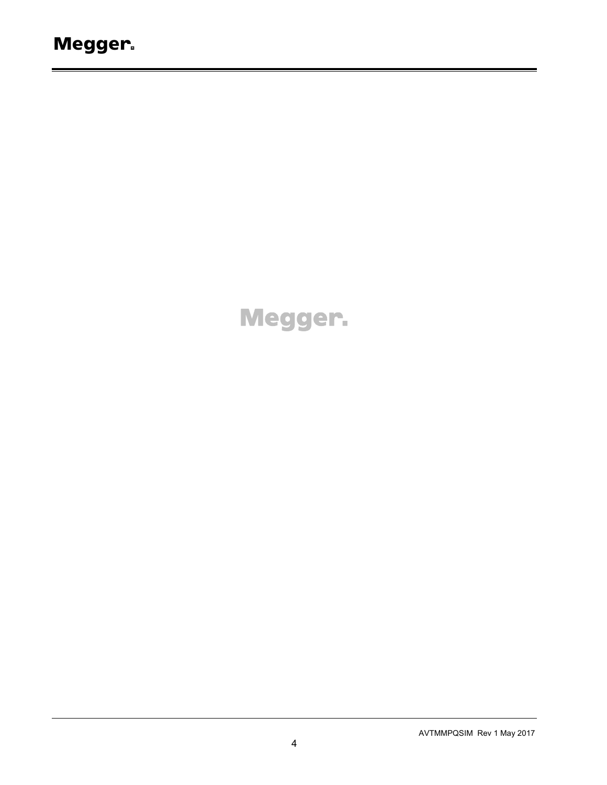# Megger.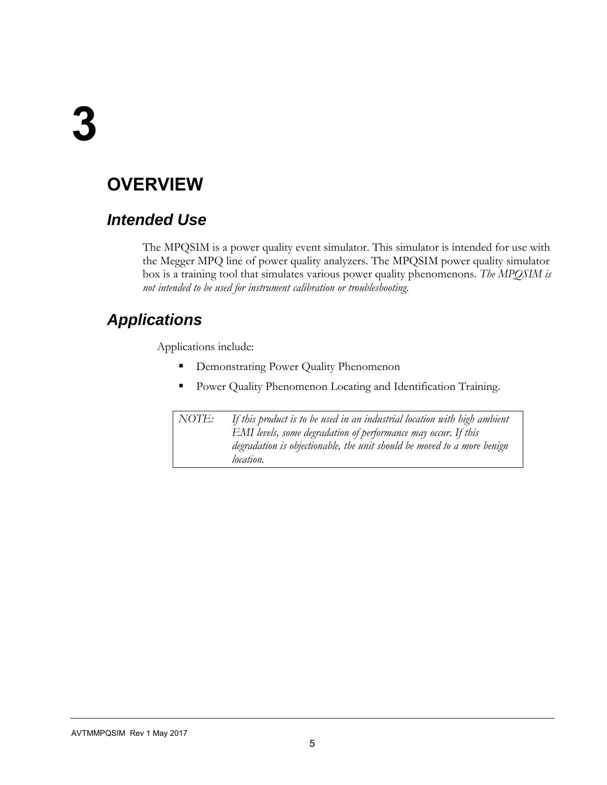# **3**

## **OVERVIEW**

## *Intended Use*

The MPQSIM is a power quality event simulator. This simulator is intended for use with the Megger MPQ line of power quality analyzers. The MPQSIM power quality simulator box is a training tool that simulates various power quality phenomenons. *The MPQSIM is not intended to be used for instrument calibration or troubleshooting.* 

## *Applications*

Applications include:

- **Demonstrating Power Quality Phenomenon**
- **Power Quality Phenomenon Locating and Identification Training.**

*NOTE: If this product is to be used in an industrial location with high ambient EMI levels, some degradation of performance may occur. If this degradation is objectionable, the unit should be moved to a more benign location.*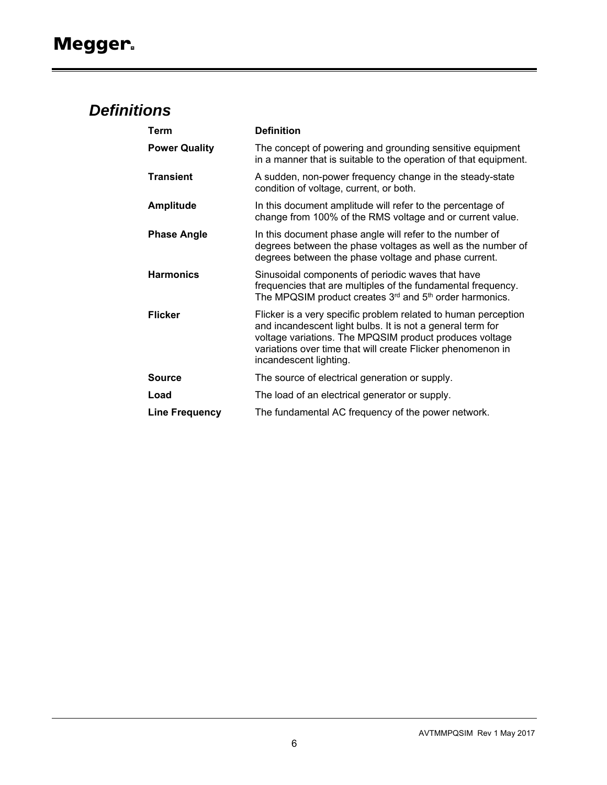## *Definitions*

| Term                  | <b>Definition</b>                                                                                                                                                                                                                                                                |
|-----------------------|----------------------------------------------------------------------------------------------------------------------------------------------------------------------------------------------------------------------------------------------------------------------------------|
| <b>Power Quality</b>  | The concept of powering and grounding sensitive equipment<br>in a manner that is suitable to the operation of that equipment.                                                                                                                                                    |
| <b>Transient</b>      | A sudden, non-power frequency change in the steady-state<br>condition of voltage, current, or both.                                                                                                                                                                              |
| <b>Amplitude</b>      | In this document amplitude will refer to the percentage of<br>change from 100% of the RMS voltage and or current value.                                                                                                                                                          |
| <b>Phase Angle</b>    | In this document phase angle will refer to the number of<br>degrees between the phase voltages as well as the number of<br>degrees between the phase voltage and phase current.                                                                                                  |
| <b>Harmonics</b>      | Sinusoidal components of periodic waves that have<br>frequencies that are multiples of the fundamental frequency.<br>The MPQSIM product creates 3 <sup>rd</sup> and 5 <sup>th</sup> order harmonics.                                                                             |
| <b>Flicker</b>        | Flicker is a very specific problem related to human perception<br>and incandescent light bulbs. It is not a general term for<br>voltage variations. The MPQSIM product produces voltage<br>variations over time that will create Flicker phenomenon in<br>incandescent lighting. |
| <b>Source</b>         | The source of electrical generation or supply.                                                                                                                                                                                                                                   |
| Load                  | The load of an electrical generator or supply.                                                                                                                                                                                                                                   |
| <b>Line Frequency</b> | The fundamental AC frequency of the power network.                                                                                                                                                                                                                               |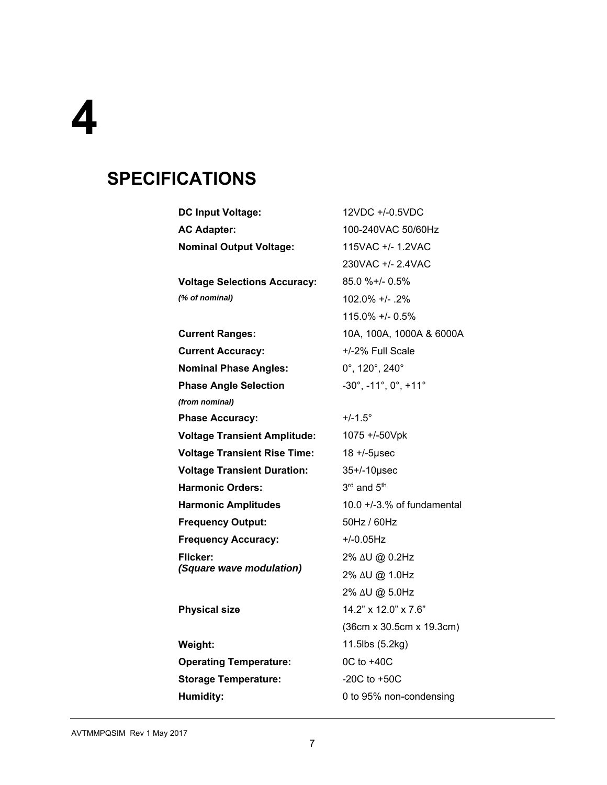## **SPECIFICATIONS**

| <b>DC Input Voltage:</b>            | 12VDC +/-0.5VDC                                     |
|-------------------------------------|-----------------------------------------------------|
| <b>AC Adapter:</b>                  | 100-240VAC 50/60Hz                                  |
| <b>Nominal Output Voltage:</b>      | 115VAC +/- 1.2VAC                                   |
|                                     | 230VAC +/- 2.4VAC                                   |
| <b>Voltage Selections Accuracy:</b> | 85.0 %+/- 0.5%                                      |
| (% of nominal)                      | $102.0\% +/- .2\%$                                  |
|                                     | 115.0% +/- 0.5%                                     |
| <b>Current Ranges:</b>              | 10A, 100A, 1000A & 6000A                            |
| <b>Current Accuracy:</b>            | +/-2% Full Scale                                    |
| <b>Nominal Phase Angles:</b>        | 0°, 120°, 240°                                      |
| <b>Phase Angle Selection</b>        | $-30^\circ$ , $-11^\circ$ , $0^\circ$ , $+11^\circ$ |
| (from nominal)                      |                                                     |
| <b>Phase Accuracy:</b>              | $+/-1.5^{\circ}$                                    |
| <b>Voltage Transient Amplitude:</b> | 1075 +/-50Vpk                                       |
| <b>Voltage Transient Rise Time:</b> | $18 + -5$ usec                                      |
| <b>Voltage Transient Duration:</b>  | $35+/-10$ usec                                      |
| <b>Harmonic Orders:</b>             | 3rd and 5th                                         |
| <b>Harmonic Amplitudes</b>          | $10.0 + (-3.% of fundamental)$                      |
| <b>Frequency Output:</b>            | 50Hz / 60Hz                                         |
| <b>Frequency Accuracy:</b>          | $+/-0.05$ Hz                                        |
| Flicker:                            | 2% ∆U @ 0.2Hz                                       |
| (Square wave modulation)            | 2% ∆U @ 1.0Hz                                       |
|                                     | 2% ∆U @ 5.0Hz                                       |
| <b>Physical size</b>                | 14.2" x 12.0" x 7.6"                                |
|                                     | (36cm x 30.5cm x 19.3cm)                            |
| Weight:                             | 11.5lbs (5.2kg)                                     |
| <b>Operating Temperature:</b>       | $OC$ to $+4OC$                                      |
| <b>Storage Temperature:</b>         | $-20C$ to $+50C$                                    |
| Humidity:                           | 0 to 95% non-condensing                             |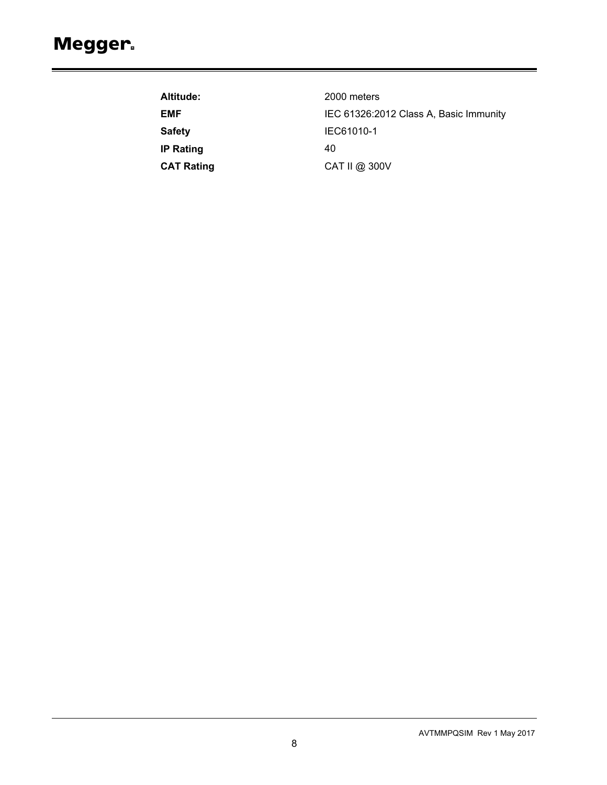## **Megger**.

**Altitude:** 2000 meters **EMF IEC 61326:2012 Class A, Basic Immunity Safety** IEC61010-1 **IP Rating** 40 **CAT Rating** CAT II @ 300V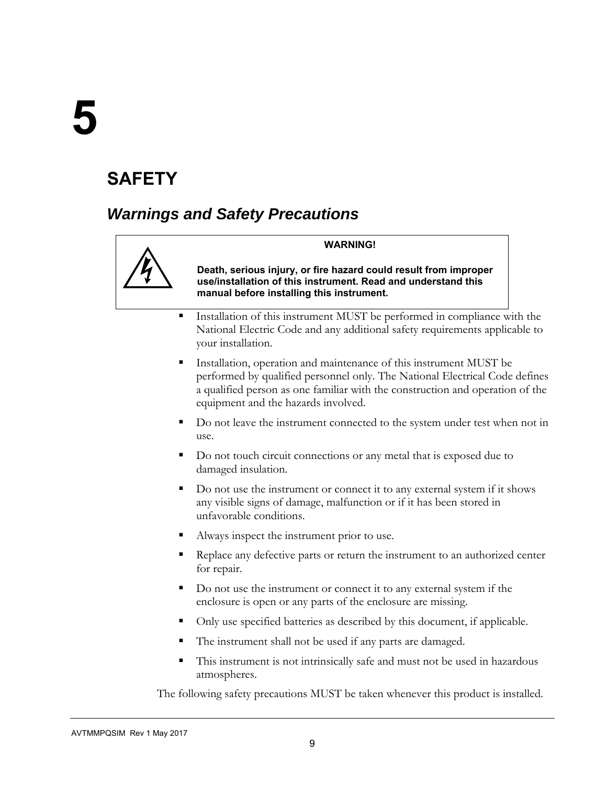## **SAFETY**

## *Warnings and Safety Precautions*



#### **WARNING!**

**Death, serious injury, or fire hazard could result from improper use/installation of this instrument. Read and understand this manual before installing this instrument.** 

- Installation of this instrument MUST be performed in compliance with the National Electric Code and any additional safety requirements applicable to your installation.
- Installation, operation and maintenance of this instrument MUST be performed by qualified personnel only. The National Electrical Code defines a qualified person as one familiar with the construction and operation of the equipment and the hazards involved.
- Do not leave the instrument connected to the system under test when not in use.
- Do not touch circuit connections or any metal that is exposed due to damaged insulation.
- Do not use the instrument or connect it to any external system if it shows any visible signs of damage, malfunction or if it has been stored in unfavorable conditions.
- Always inspect the instrument prior to use.
- Replace any defective parts or return the instrument to an authorized center for repair.
- Do not use the instrument or connect it to any external system if the enclosure is open or any parts of the enclosure are missing.
- Only use specified batteries as described by this document, if applicable.
- The instrument shall not be used if any parts are damaged.
- This instrument is not intrinsically safe and must not be used in hazardous atmospheres.

The following safety precautions MUST be taken whenever this product is installed.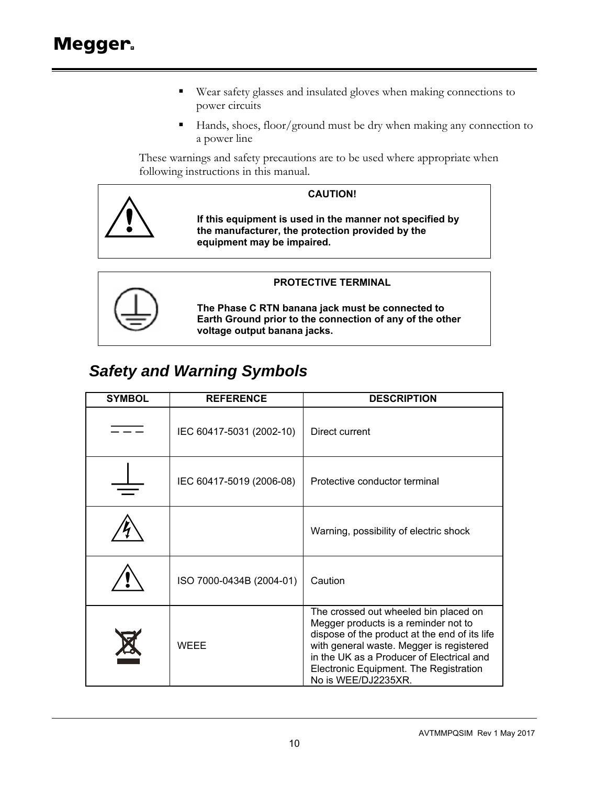- Wear safety glasses and insulated gloves when making connections to power circuits
- Hands, shoes, floor/ground must be dry when making any connection to a power line

These warnings and safety precautions are to be used where appropriate when following instructions in this manual.



#### **CAUTION!**

**If this equipment is used in the manner not specified by the manufacturer, the protection provided by the equipment may be impaired.** 



#### **PROTECTIVE TERMINAL**

**The Phase C RTN banana jack must be connected to Earth Ground prior to the connection of any of the other voltage output banana jacks.** 

## *Safety and Warning Symbols*

| <b>SYMBOL</b> | <b>REFERENCE</b>         | <b>DESCRIPTION</b>                                                                                                                                                                                                                                                                       |
|---------------|--------------------------|------------------------------------------------------------------------------------------------------------------------------------------------------------------------------------------------------------------------------------------------------------------------------------------|
|               | IEC 60417-5031 (2002-10) | Direct current                                                                                                                                                                                                                                                                           |
|               | IEC 60417-5019 (2006-08) | Protective conductor terminal                                                                                                                                                                                                                                                            |
|               |                          | Warning, possibility of electric shock                                                                                                                                                                                                                                                   |
|               | ISO 7000-0434B (2004-01) | Caution                                                                                                                                                                                                                                                                                  |
|               | <b>WFFF</b>              | The crossed out wheeled bin placed on<br>Megger products is a reminder not to<br>dispose of the product at the end of its life<br>with general waste. Megger is registered<br>in the UK as a Producer of Electrical and<br>Electronic Equipment. The Registration<br>No is WEE/DJ2235XR. |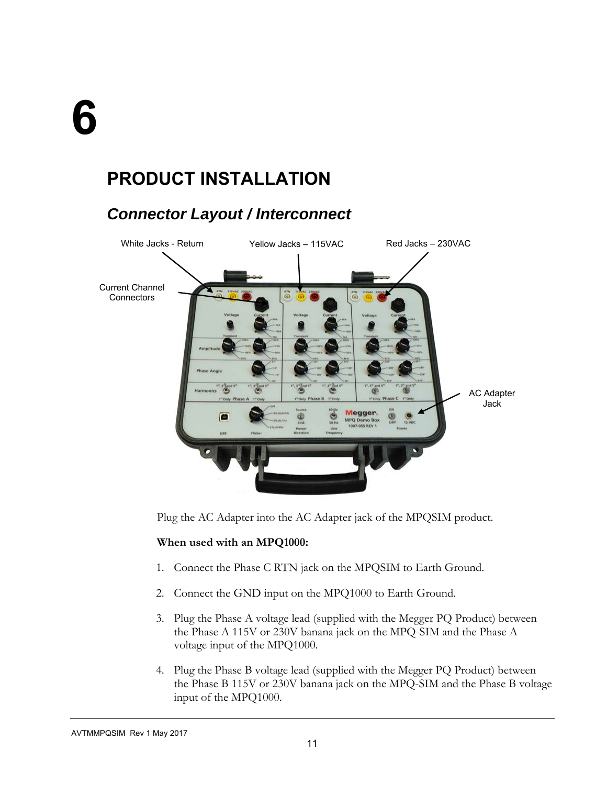## **PRODUCT INSTALLATION**

## *Connector Layout / Interconnect*



Plug the AC Adapter into the AC Adapter jack of the MPQSIM product.

#### **When used with an MPQ1000:**

- 1. Connect the Phase C RTN jack on the MPQSIM to Earth Ground.
- 2. Connect the GND input on the MPQ1000 to Earth Ground.
- 3. Plug the Phase A voltage lead (supplied with the Megger PQ Product) between the Phase A 115V or 230V banana jack on the MPQ-SIM and the Phase A voltage input of the MPQ1000.
- 4. Plug the Phase B voltage lead (supplied with the Megger PQ Product) between the Phase B 115V or 230V banana jack on the MPQ-SIM and the Phase B voltage input of the MPQ1000.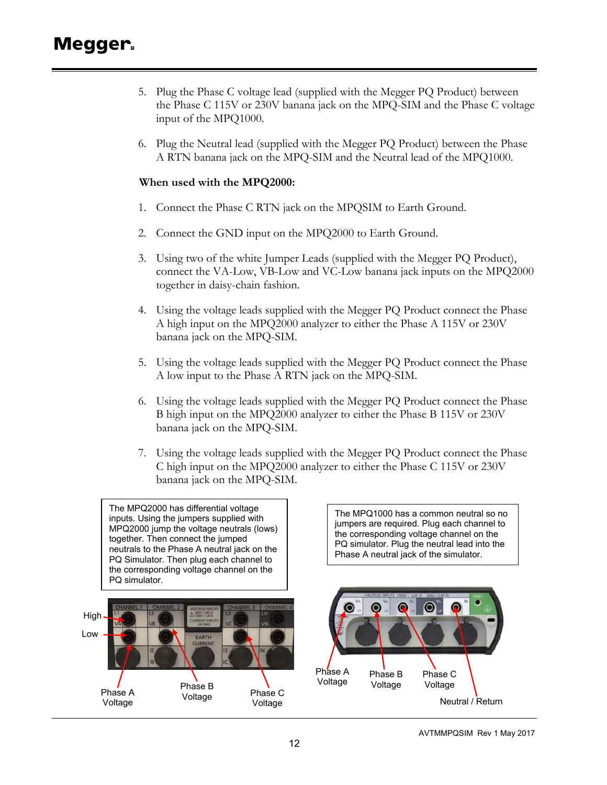- 5. Plug the Phase C voltage lead (supplied with the Megger PQ Product) between the Phase C 115V or 230V banana jack on the MPQ-SIM and the Phase C voltage input of the MPQ1000.
- 6. Plug the Neutral lead (supplied with the Megger PQ Product) between the Phase A RTN banana jack on the MPQ-SIM and the Neutral lead of the MPQ1000.

#### **When used with the MPQ2000:**

- 1. Connect the Phase C RTN jack on the MPQSIM to Earth Ground.
- 2. Connect the GND input on the MPQ2000 to Earth Ground.
- 3. Using two of the white Jumper Leads (supplied with the Megger PQ Product), connect the VA-Low, VB-Low and VC-Low banana jack inputs on the MPQ2000 together in daisy-chain fashion.
- 4. Using the voltage leads supplied with the Megger PQ Product connect the Phase A high input on the MPQ2000 analyzer to either the Phase A 115V or 230V banana jack on the MPQ-SIM.
- 5. Using the voltage leads supplied with the Megger PQ Product connect the Phase A low input to the Phase A RTN jack on the MPQ-SIM.
- 6. Using the voltage leads supplied with the Megger PQ Product connect the Phase B high input on the MPQ2000 analyzer to either the Phase B 115V or 230V banana jack on the MPQ-SIM.
- 7. Using the voltage leads supplied with the Megger PQ Product connect the Phase C high input on the MPQ2000 analyzer to either the Phase C 115V or 230V banana jack on the MPQ-SIM.

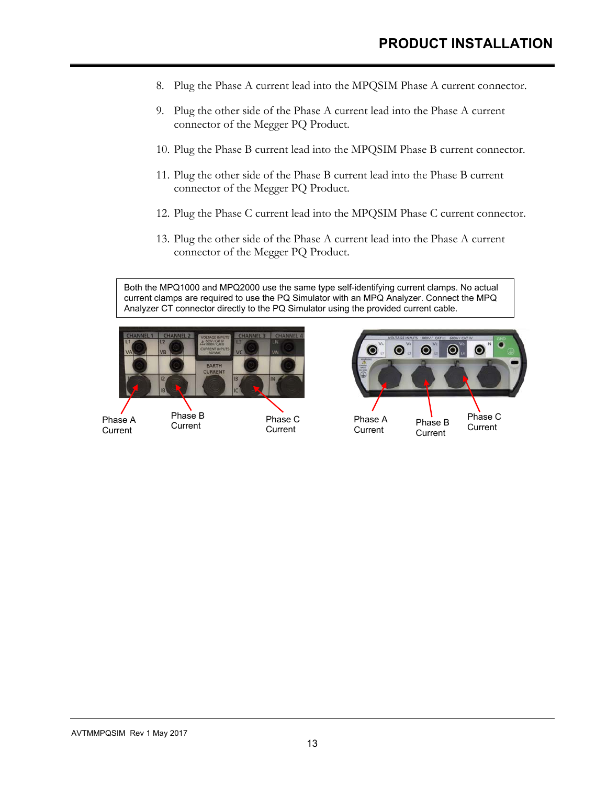- 8. Plug the Phase A current lead into the MPQSIM Phase A current connector.
- 9. Plug the other side of the Phase A current lead into the Phase A current connector of the Megger PQ Product.
- 10. Plug the Phase B current lead into the MPQSIM Phase B current connector.
- 11. Plug the other side of the Phase B current lead into the Phase B current connector of the Megger PQ Product.
- 12. Plug the Phase C current lead into the MPQSIM Phase C current connector.
- 13. Plug the other side of the Phase A current lead into the Phase A current connector of the Megger PQ Product.

Both the MPQ1000 and MPQ2000 use the same type self-identifying current clamps. No actual current clamps are required to use the PQ Simulator with an MPQ Analyzer. Connect the MPQ Analyzer CT connector directly to the PQ Simulator using the provided current cable.

**Current** 



Phase A **Current** 

Phase B Phase B<br>Current Phase C



AVTMMPQSIM Rev 1 May 2017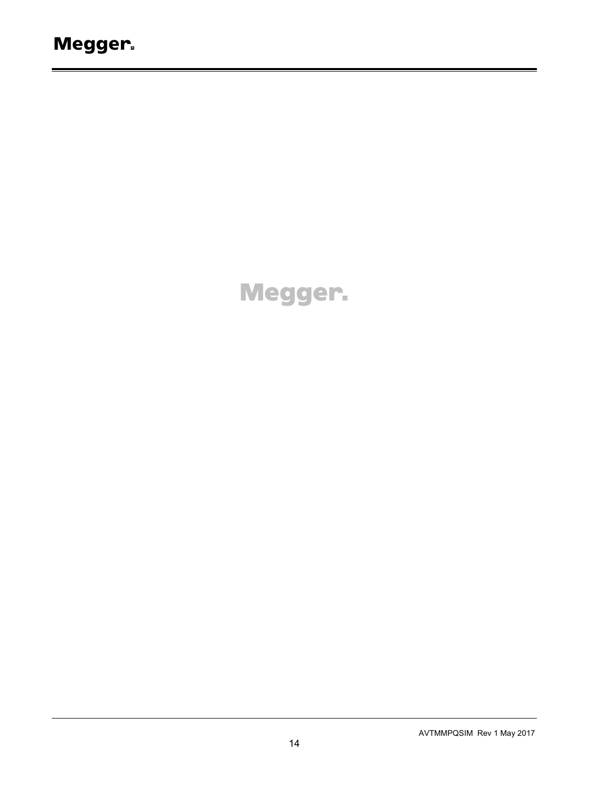## Megger.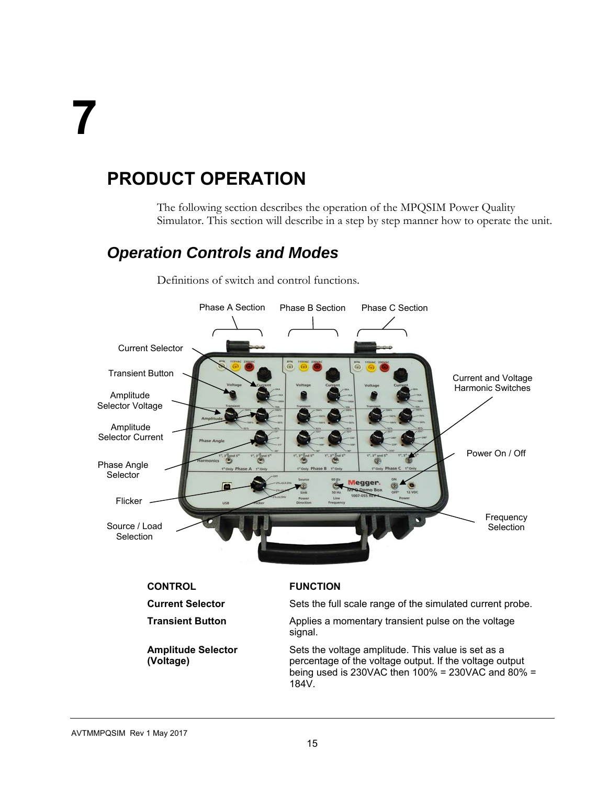# **7**

## **PRODUCT OPERATION**

The following section describes the operation of the MPQSIM Power Quality Simulator. This section will describe in a step by step manner how to operate the unit.

## *Operation Controls and Modes*



Definitions of switch and control functions.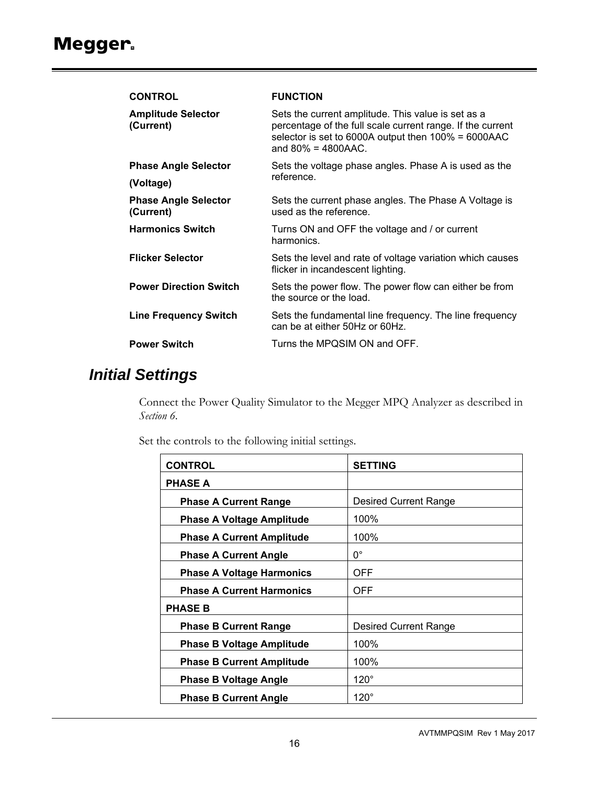| <b>FUNCTION</b>                                                                                                                                                                                       |
|-------------------------------------------------------------------------------------------------------------------------------------------------------------------------------------------------------|
| Sets the current amplitude. This value is set as a<br>percentage of the full scale current range. If the current<br>selector is set to 6000A output then $100\% = 6000$ AAC<br>and $80\% = 4800$ AAC. |
| Sets the voltage phase angles. Phase A is used as the                                                                                                                                                 |
| reference.                                                                                                                                                                                            |
| Sets the current phase angles. The Phase A Voltage is<br>used as the reference.                                                                                                                       |
| Turns ON and OFF the voltage and / or current<br>harmonics.                                                                                                                                           |
| Sets the level and rate of voltage variation which causes<br>flicker in incandescent lighting.                                                                                                        |
| Sets the power flow. The power flow can either be from<br>the source or the load.                                                                                                                     |
| Sets the fundamental line frequency. The line frequency<br>can be at either 50Hz or 60Hz.                                                                                                             |
| Turns the MPQSIM ON and OFF.                                                                                                                                                                          |
|                                                                                                                                                                                                       |

## *Initial Settings*

Connect the Power Quality Simulator to the Megger MPQ Analyzer as described in *Section 6.* 

| <b>CONTROL</b>                   | <b>SETTING</b>               |
|----------------------------------|------------------------------|
| <b>PHASE A</b>                   |                              |
| <b>Phase A Current Range</b>     | <b>Desired Current Range</b> |
| <b>Phase A Voltage Amplitude</b> | 100%                         |
| <b>Phase A Current Amplitude</b> | 100%                         |
| <b>Phase A Current Angle</b>     | $0^{\circ}$                  |
| <b>Phase A Voltage Harmonics</b> | <b>OFF</b>                   |
| <b>Phase A Current Harmonics</b> | <b>OFF</b>                   |
| <b>PHASE B</b>                   |                              |
| <b>Phase B Current Range</b>     | <b>Desired Current Range</b> |
| <b>Phase B Voltage Amplitude</b> | 100%                         |
| <b>Phase B Current Amplitude</b> | 100%                         |
| <b>Phase B Voltage Angle</b>     | $120^\circ$                  |
| <b>Phase B Current Angle</b>     | $120^\circ$                  |

Set the controls to the following initial settings.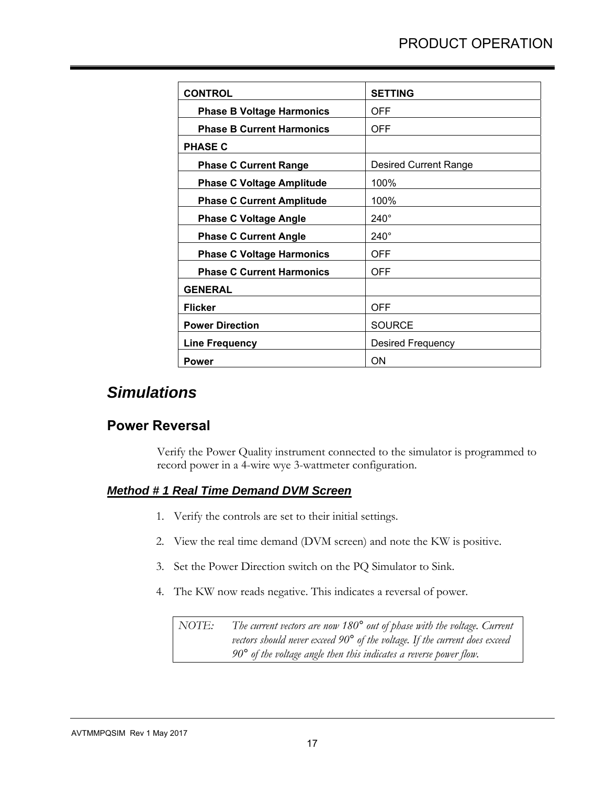| <b>CONTROL</b>                   | <b>SETTING</b>               |
|----------------------------------|------------------------------|
| <b>Phase B Voltage Harmonics</b> | <b>OFF</b>                   |
| <b>Phase B Current Harmonics</b> | <b>OFF</b>                   |
| <b>PHASE C</b>                   |                              |
| <b>Phase C Current Range</b>     | <b>Desired Current Range</b> |
| <b>Phase C Voltage Amplitude</b> | 100%                         |
| <b>Phase C Current Amplitude</b> | 100%                         |
| <b>Phase C Voltage Angle</b>     | $240^\circ$                  |
| <b>Phase C Current Angle</b>     | $240^\circ$                  |
| <b>Phase C Voltage Harmonics</b> | <b>OFF</b>                   |
| <b>Phase C Current Harmonics</b> | <b>OFF</b>                   |
| <b>GENERAL</b>                   |                              |
| <b>Flicker</b>                   | <b>OFF</b>                   |
| <b>Power Direction</b>           | <b>SOURCE</b>                |
| <b>Line Frequency</b>            | <b>Desired Frequency</b>     |
| <b>Power</b>                     | ON                           |

### *Simulations*

#### **Power Reversal**

Verify the Power Quality instrument connected to the simulator is programmed to record power in a 4-wire wye 3-wattmeter configuration.

#### *Method # 1 Real Time Demand DVM Screen*

- 1. Verify the controls are set to their initial settings.
- 2. View the real time demand (DVM screen) and note the KW is positive.
- 3. Set the Power Direction switch on the PQ Simulator to Sink.
- 4. The KW now reads negative. This indicates a reversal of power.

*NOTE: The current vectors are now 180° out of phase with the voltage. Current vectors should never exceed 90° of the voltage. If the current does exceed 90° of the voltage angle then this indicates a reverse power flow.* 

#### AVTMMPQSIM Rev 1 May 2017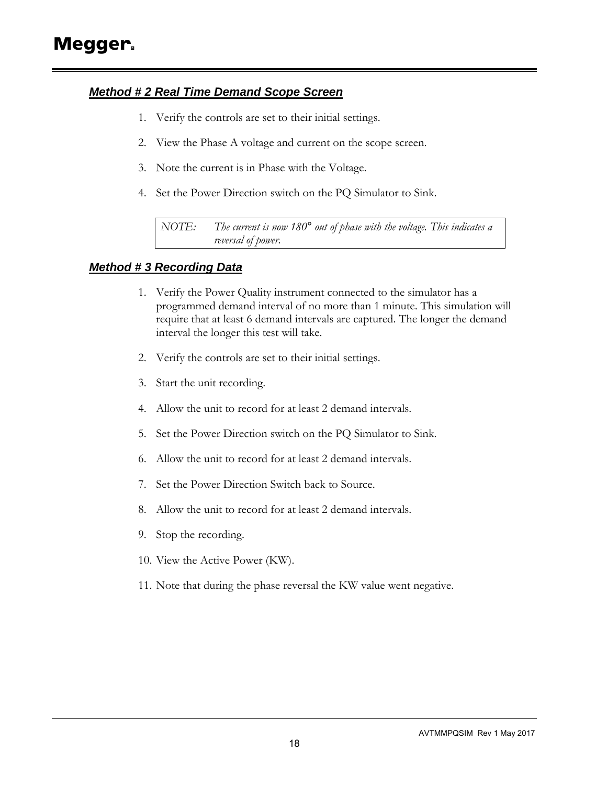#### *Method # 2 Real Time Demand Scope Screen*

- 1. Verify the controls are set to their initial settings.
- 2. View the Phase A voltage and current on the scope screen.
- 3. Note the current is in Phase with the Voltage.
- 4. Set the Power Direction switch on the PQ Simulator to Sink.

*NOTE: The current is now 180° out of phase with the voltage. This indicates a reversal of power.* 

#### *Method # 3 Recording Data*

- 1. Verify the Power Quality instrument connected to the simulator has a programmed demand interval of no more than 1 minute. This simulation will require that at least 6 demand intervals are captured. The longer the demand interval the longer this test will take.
- 2. Verify the controls are set to their initial settings.
- 3. Start the unit recording.
- 4. Allow the unit to record for at least 2 demand intervals.
- 5. Set the Power Direction switch on the PQ Simulator to Sink.
- 6. Allow the unit to record for at least 2 demand intervals.
- 7. Set the Power Direction Switch back to Source.
- 8. Allow the unit to record for at least 2 demand intervals.
- 9. Stop the recording.
- 10. View the Active Power (KW).
- 11. Note that during the phase reversal the KW value went negative.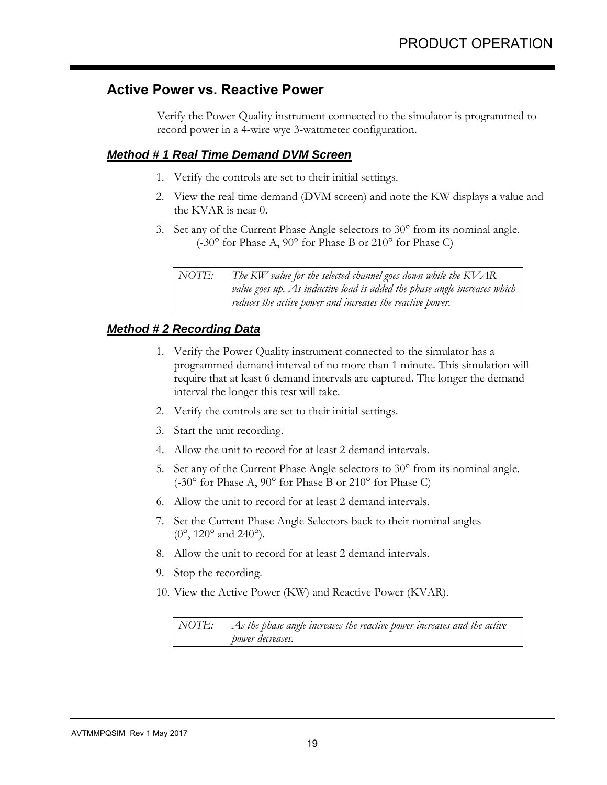#### **Active Power vs. Reactive Power**

Verify the Power Quality instrument connected to the simulator is programmed to record power in a 4-wire wye 3-wattmeter configuration.

#### *Method # 1 Real Time Demand DVM Screen*

- 1. Verify the controls are set to their initial settings.
- 2. View the real time demand (DVM screen) and note the KW displays a value and the KVAR is near 0.
- 3. Set any of the Current Phase Angle selectors to 30° from its nominal angle. (-30° for Phase A, 90° for Phase B or 210° for Phase C)

*NOTE: The KW value for the selected channel goes down while the KVAR value goes up. As inductive load is added the phase angle increases which reduces the active power and increases the reactive power.* 

#### *Method # 2 Recording Data*

- 1. Verify the Power Quality instrument connected to the simulator has a programmed demand interval of no more than 1 minute. This simulation will require that at least 6 demand intervals are captured. The longer the demand interval the longer this test will take.
- 2. Verify the controls are set to their initial settings.
- 3. Start the unit recording.
- 4. Allow the unit to record for at least 2 demand intervals.
- 5. Set any of the Current Phase Angle selectors to 30° from its nominal angle. (-30° for Phase A, 90° for Phase B or 210° for Phase C)
- 6. Allow the unit to record for at least 2 demand intervals.
- 7. Set the Current Phase Angle Selectors back to their nominal angles  $(0^{\circ}, 120^{\circ}$  and 240°).
- 8. Allow the unit to record for at least 2 demand intervals.
- 9. Stop the recording.
- 10. View the Active Power (KW) and Reactive Power (KVAR).

*NOTE: As the phase angle increases the reactive power increases and the active power decreases.*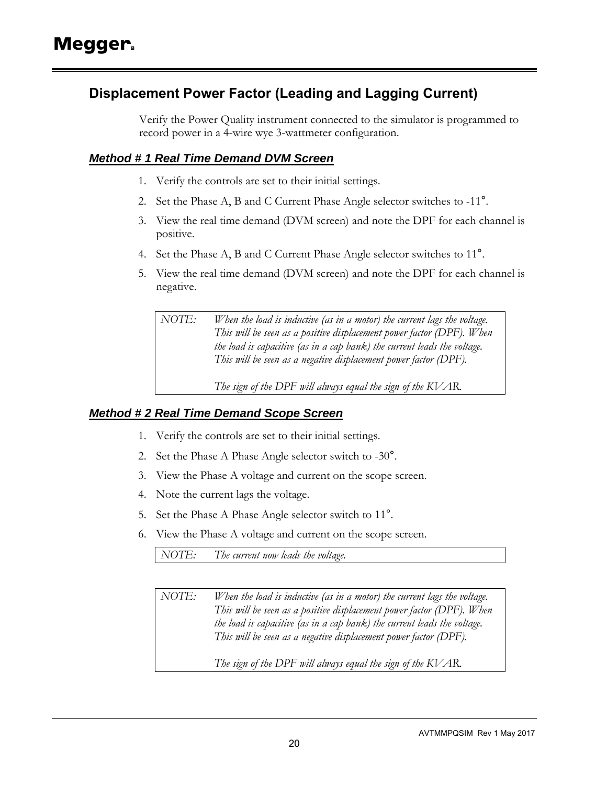### **Displacement Power Factor (Leading and Lagging Current)**

Verify the Power Quality instrument connected to the simulator is programmed to record power in a 4-wire wye 3-wattmeter configuration.

#### *Method # 1 Real Time Demand DVM Screen*

- 1. Verify the controls are set to their initial settings.
- 2. Set the Phase A, B and C Current Phase Angle selector switches to -11°.
- 3. View the real time demand (DVM screen) and note the DPF for each channel is positive.
- 4. Set the Phase A, B and C Current Phase Angle selector switches to 11°.
- 5. View the real time demand (DVM screen) and note the DPF for each channel is negative.

*NOTE: When the load is inductive (as in a motor) the current lags the voltage. This will be seen as a positive displacement power factor (DPF). When the load is capacitive (as in a cap bank) the current leads the voltage. This will be seen as a negative displacement power factor (DPF).* 

*The sign of the DPF will always equal the sign of the KVAR.* 

#### *Method # 2 Real Time Demand Scope Screen*

- 1. Verify the controls are set to their initial settings.
- 2. Set the Phase A Phase Angle selector switch to -30°.
- 3. View the Phase A voltage and current on the scope screen.
- 4. Note the current lags the voltage.
- 5. Set the Phase A Phase Angle selector switch to 11°.
- 6. View the Phase A voltage and current on the scope screen.

*NOTE: The current now leads the voltage.* 

*NOTE: When the load is inductive (as in a motor) the current lags the voltage. This will be seen as a positive displacement power factor (DPF). When the load is capacitive (as in a cap bank) the current leads the voltage. This will be seen as a negative displacement power factor (DPF).* 

*The sign of the DPF will always equal the sign of the KVAR.*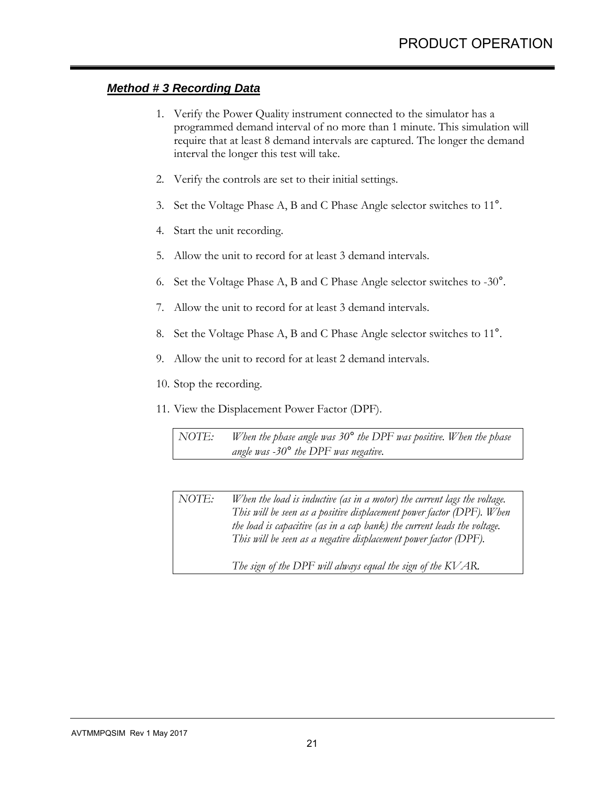#### *Method # 3 Recording Data*

- 1. Verify the Power Quality instrument connected to the simulator has a programmed demand interval of no more than 1 minute. This simulation will require that at least 8 demand intervals are captured. The longer the demand interval the longer this test will take.
- 2. Verify the controls are set to their initial settings.
- 3. Set the Voltage Phase A, B and C Phase Angle selector switches to 11°.
- 4. Start the unit recording.
- 5. Allow the unit to record for at least 3 demand intervals.
- 6. Set the Voltage Phase A, B and C Phase Angle selector switches to -30°.
- 7. Allow the unit to record for at least 3 demand intervals.
- 8. Set the Voltage Phase A, B and C Phase Angle selector switches to 11°.
- 9. Allow the unit to record for at least 2 demand intervals.
- 10. Stop the recording.
- 11. View the Displacement Power Factor (DPF).

*NOTE: When the phase angle was 30° the DPF was positive. When the phase angle was -30° the DPF was negative.* 

*NOTE: When the load is inductive (as in a motor) the current lags the voltage. This will be seen as a positive displacement power factor (DPF). When the load is capacitive (as in a cap bank) the current leads the voltage. This will be seen as a negative displacement power factor (DPF).* 

*The sign of the DPF will always equal the sign of the KVAR.*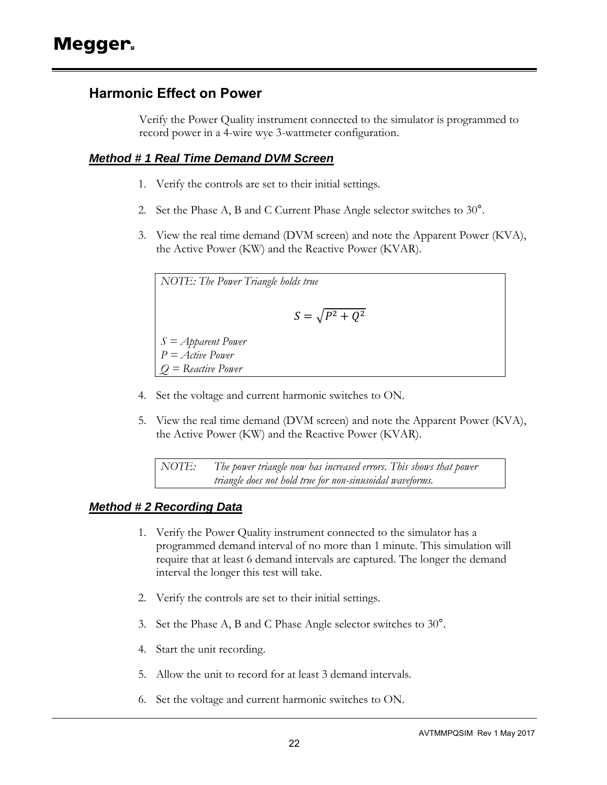#### **Harmonic Effect on Power**

Verify the Power Quality instrument connected to the simulator is programmed to record power in a 4-wire wye 3-wattmeter configuration.

#### *Method # 1 Real Time Demand DVM Screen*

- 1. Verify the controls are set to their initial settings.
- 2. Set the Phase A, B and C Current Phase Angle selector switches to 30°.
- 3. View the real time demand (DVM screen) and note the Apparent Power (KVA), the Active Power (KW) and the Reactive Power (KVAR).

*NOTE: The Power Triangle holds true*   $S = \sqrt{P^2 + Q^2}$ *S = Apparent Power P = Active Power Q = Reactive Power* 

- 4. Set the voltage and current harmonic switches to ON.
- 5. View the real time demand (DVM screen) and note the Apparent Power (KVA), the Active Power (KW) and the Reactive Power (KVAR).

*NOTE: The power triangle now has increased errors. This shows that power triangle does not hold true for non-sinusoidal waveforms.* 

#### *Method # 2 Recording Data*

- 1. Verify the Power Quality instrument connected to the simulator has a programmed demand interval of no more than 1 minute. This simulation will require that at least 6 demand intervals are captured. The longer the demand interval the longer this test will take.
- 2. Verify the controls are set to their initial settings.
- 3. Set the Phase A, B and C Phase Angle selector switches to 30°.
- 4. Start the unit recording.
- 5. Allow the unit to record for at least 3 demand intervals.
- 6. Set the voltage and current harmonic switches to ON.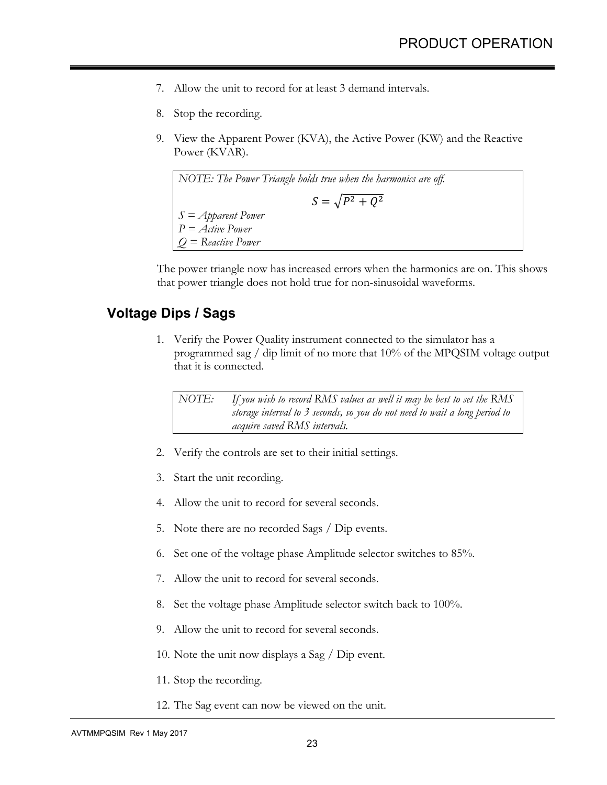- 7. Allow the unit to record for at least 3 demand intervals.
- 8. Stop the recording.
- 9. View the Apparent Power (KVA), the Active Power (KW) and the Reactive Power (KVAR).

*NOTE: The Power Triangle holds true when the harmonics are off.*   $S = \sqrt{P^2 + Q^2}$ *S = Apparent Power P = Active Power Q = Reactive Power* 

The power triangle now has increased errors when the harmonics are on. This shows that power triangle does not hold true for non-sinusoidal waveforms.

#### **Voltage Dips / Sags**

1. Verify the Power Quality instrument connected to the simulator has a programmed sag / dip limit of no more that 10% of the MPQSIM voltage output that it is connected.

*NOTE: If you wish to record RMS values as well it may be best to set the RMS storage interval to 3 seconds, so you do not need to wait a long period to acquire saved RMS intervals.* 

- 2. Verify the controls are set to their initial settings.
- 3. Start the unit recording.
- 4. Allow the unit to record for several seconds.
- 5. Note there are no recorded Sags / Dip events.
- 6. Set one of the voltage phase Amplitude selector switches to 85%.
- 7. Allow the unit to record for several seconds.
- 8. Set the voltage phase Amplitude selector switch back to 100%.
- 9. Allow the unit to record for several seconds.
- 10. Note the unit now displays a Sag / Dip event.
- 11. Stop the recording.
- 12. The Sag event can now be viewed on the unit.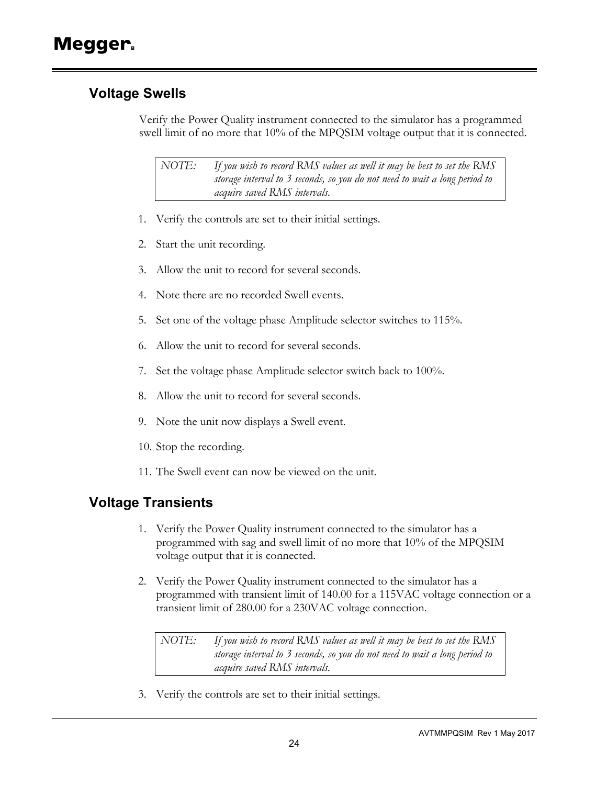#### **Voltage Swells**

Verify the Power Quality instrument connected to the simulator has a programmed swell limit of no more that 10% of the MPQSIM voltage output that it is connected.

*NOTE: If you wish to record RMS values as well it may be best to set the RMS storage interval to 3 seconds, so you do not need to wait a long period to acquire saved RMS intervals.* 

- 1. Verify the controls are set to their initial settings.
- 2. Start the unit recording.
- 3. Allow the unit to record for several seconds.
- 4. Note there are no recorded Swell events.
- 5. Set one of the voltage phase Amplitude selector switches to 115%.
- 6. Allow the unit to record for several seconds.
- 7. Set the voltage phase Amplitude selector switch back to 100%.
- 8. Allow the unit to record for several seconds.
- 9. Note the unit now displays a Swell event.
- 10. Stop the recording.
- 11. The Swell event can now be viewed on the unit.

#### **Voltage Transients**

- 1. Verify the Power Quality instrument connected to the simulator has a programmed with sag and swell limit of no more that 10% of the MPQSIM voltage output that it is connected.
- 2. Verify the Power Quality instrument connected to the simulator has a programmed with transient limit of 140.00 for a 115VAC voltage connection or a transient limit of 280.00 for a 230VAC voltage connection.

*NOTE: If you wish to record RMS values as well it may be best to set the RMS storage interval to 3 seconds, so you do not need to wait a long period to acquire saved RMS intervals.* 

3. Verify the controls are set to their initial settings.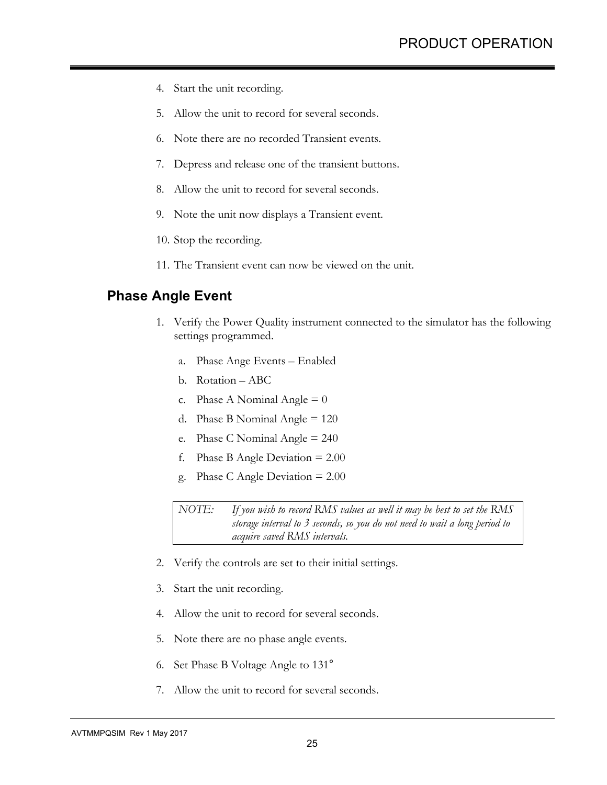- 4. Start the unit recording.
- 5. Allow the unit to record for several seconds.
- 6. Note there are no recorded Transient events.
- 7. Depress and release one of the transient buttons.
- 8. Allow the unit to record for several seconds.
- 9. Note the unit now displays a Transient event.
- 10. Stop the recording.
- 11. The Transient event can now be viewed on the unit.

#### **Phase Angle Event**

- 1. Verify the Power Quality instrument connected to the simulator has the following settings programmed.
	- a. Phase Ange Events Enabled
	- b. Rotation ABC
	- c. Phase A Nominal Angle  $= 0$
	- d. Phase B Nominal Angle  $= 120$
	- e. Phase C Nominal Angle = 240
	- f. Phase B Angle Deviation = 2.00
	- g. Phase C Angle Deviation = 2.00

*NOTE: If you wish to record RMS values as well it may be best to set the RMS storage interval to 3 seconds, so you do not need to wait a long period to acquire saved RMS intervals.* 

- 2. Verify the controls are set to their initial settings.
- 3. Start the unit recording.
- 4. Allow the unit to record for several seconds.
- 5. Note there are no phase angle events.
- 6. Set Phase B Voltage Angle to 131°
- 7. Allow the unit to record for several seconds.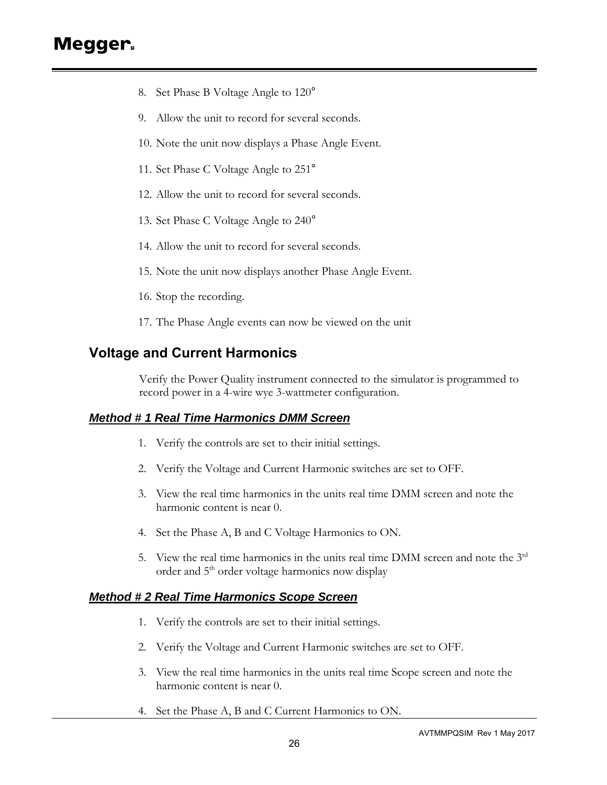## Megger.

- 8. Set Phase B Voltage Angle to 120°
- 9. Allow the unit to record for several seconds.
- 10. Note the unit now displays a Phase Angle Event.
- 11. Set Phase C Voltage Angle to 251°
- 12. Allow the unit to record for several seconds.
- 13. Set Phase C Voltage Angle to 240°
- 14. Allow the unit to record for several seconds.
- 15. Note the unit now displays another Phase Angle Event.
- 16. Stop the recording.
- 17. The Phase Angle events can now be viewed on the unit

#### **Voltage and Current Harmonics**

Verify the Power Quality instrument connected to the simulator is programmed to record power in a 4-wire wye 3-wattmeter configuration.

#### *Method # 1 Real Time Harmonics DMM Screen*

- 1. Verify the controls are set to their initial settings.
- 2. Verify the Voltage and Current Harmonic switches are set to OFF.
- 3. View the real time harmonics in the units real time DMM screen and note the harmonic content is near 0.
- 4. Set the Phase A, B and C Voltage Harmonics to ON.
- 5. View the real time harmonics in the units real time DMM screen and note the 3rd order and 5<sup>th</sup> order voltage harmonics now display

#### *Method # 2 Real Time Harmonics Scope Screen*

- 1. Verify the controls are set to their initial settings.
- 2. Verify the Voltage and Current Harmonic switches are set to OFF.
- 3. View the real time harmonics in the units real time Scope screen and note the harmonic content is near 0.
- 4. Set the Phase A, B and C Current Harmonics to ON.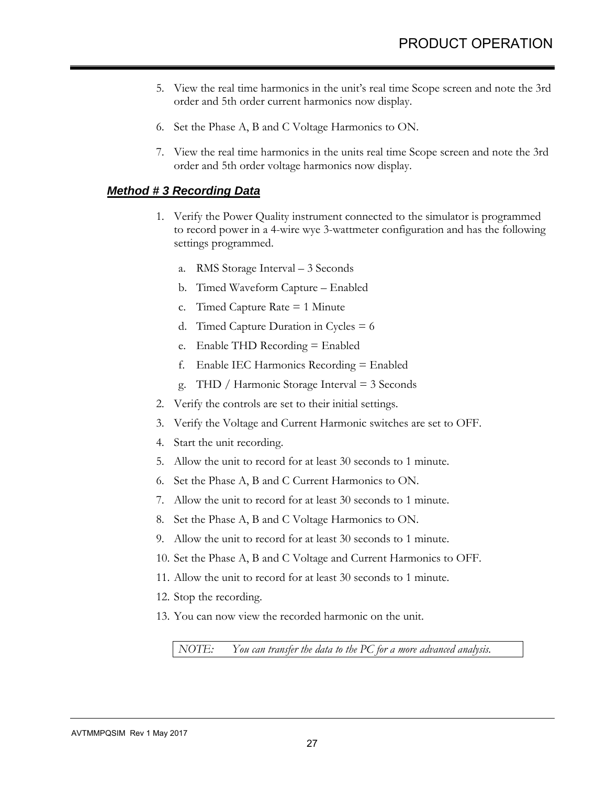- 5. View the real time harmonics in the unit's real time Scope screen and note the 3rd order and 5th order current harmonics now display.
- 6. Set the Phase A, B and C Voltage Harmonics to ON.
- 7. View the real time harmonics in the units real time Scope screen and note the 3rd order and 5th order voltage harmonics now display.

#### *Method # 3 Recording Data*

- 1. Verify the Power Quality instrument connected to the simulator is programmed to record power in a 4-wire wye 3-wattmeter configuration and has the following settings programmed.
	- a. RMS Storage Interval 3 Seconds
	- b. Timed Waveform Capture Enabled
	- c. Timed Capture Rate  $= 1$  Minute
	- d. Timed Capture Duration in Cycles = 6
	- e. Enable THD Recording = Enabled
	- f. Enable IEC Harmonics Recording = Enabled
	- g. THD / Harmonic Storage Interval = 3 Seconds
- 2. Verify the controls are set to their initial settings.
- 3. Verify the Voltage and Current Harmonic switches are set to OFF.
- 4. Start the unit recording.
- 5. Allow the unit to record for at least 30 seconds to 1 minute.
- 6. Set the Phase A, B and C Current Harmonics to ON.
- 7. Allow the unit to record for at least 30 seconds to 1 minute.
- 8. Set the Phase A, B and C Voltage Harmonics to ON.
- 9. Allow the unit to record for at least 30 seconds to 1 minute.
- 10. Set the Phase A, B and C Voltage and Current Harmonics to OFF.
- 11. Allow the unit to record for at least 30 seconds to 1 minute.
- 12. Stop the recording.
- 13. You can now view the recorded harmonic on the unit.

*NOTE: You can transfer the data to the PC for a more advanced analysis.*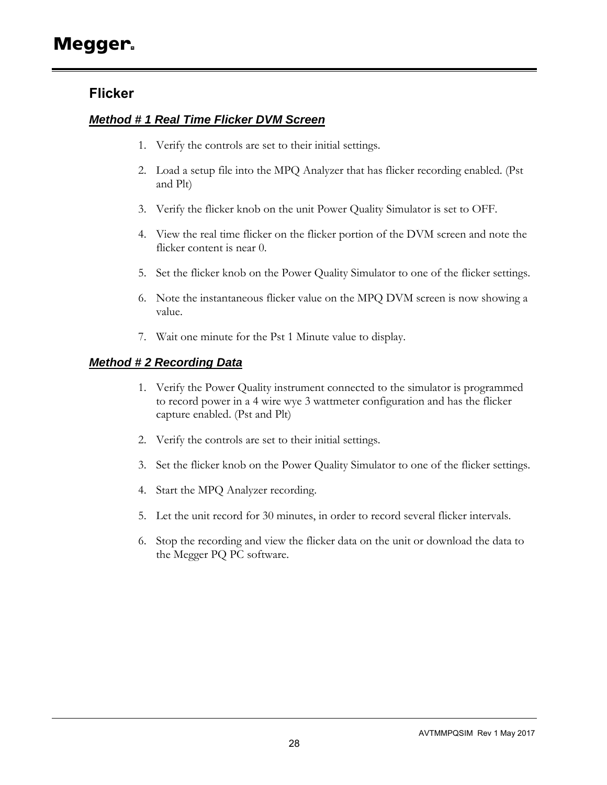#### **Flicker**

#### *Method # 1 Real Time Flicker DVM Screen*

- 1. Verify the controls are set to their initial settings.
- 2. Load a setup file into the MPQ Analyzer that has flicker recording enabled. (Pst and Plt)
- 3. Verify the flicker knob on the unit Power Quality Simulator is set to OFF.
- 4. View the real time flicker on the flicker portion of the DVM screen and note the flicker content is near 0.
- 5. Set the flicker knob on the Power Quality Simulator to one of the flicker settings.
- 6. Note the instantaneous flicker value on the MPQ DVM screen is now showing a value.
- 7. Wait one minute for the Pst 1 Minute value to display.

#### *Method # 2 Recording Data*

- 1. Verify the Power Quality instrument connected to the simulator is programmed to record power in a 4 wire wye 3 wattmeter configuration and has the flicker capture enabled. (Pst and Plt)
- 2. Verify the controls are set to their initial settings.
- 3. Set the flicker knob on the Power Quality Simulator to one of the flicker settings.
- 4. Start the MPQ Analyzer recording.
- 5. Let the unit record for 30 minutes, in order to record several flicker intervals.
- 6. Stop the recording and view the flicker data on the unit or download the data to the Megger PQ PC software.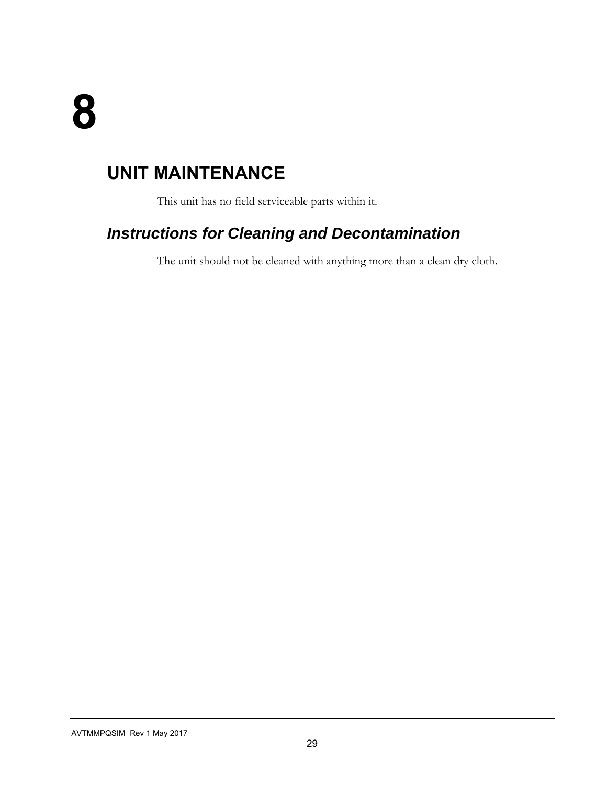## **UNIT MAINTENANCE**

This unit has no field serviceable parts within it.

## *Instructions for Cleaning and Decontamination*

The unit should not be cleaned with anything more than a clean dry cloth.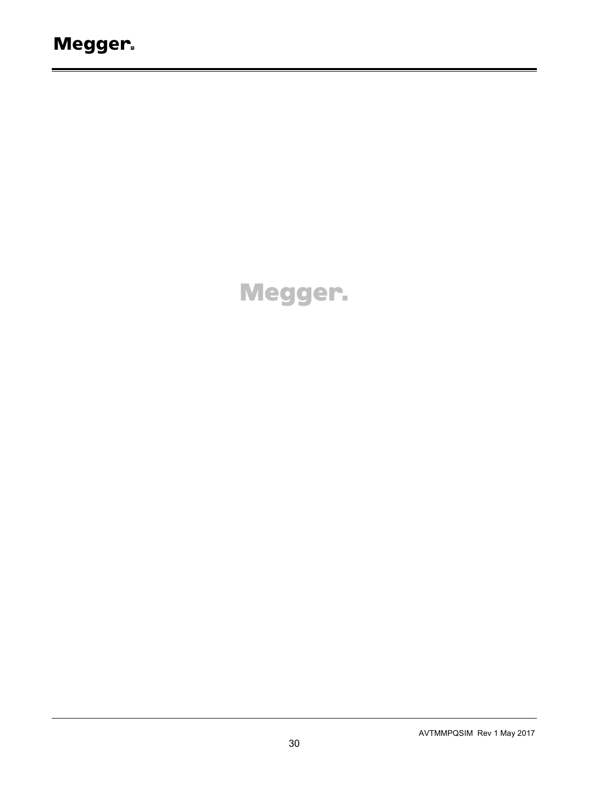## Megger.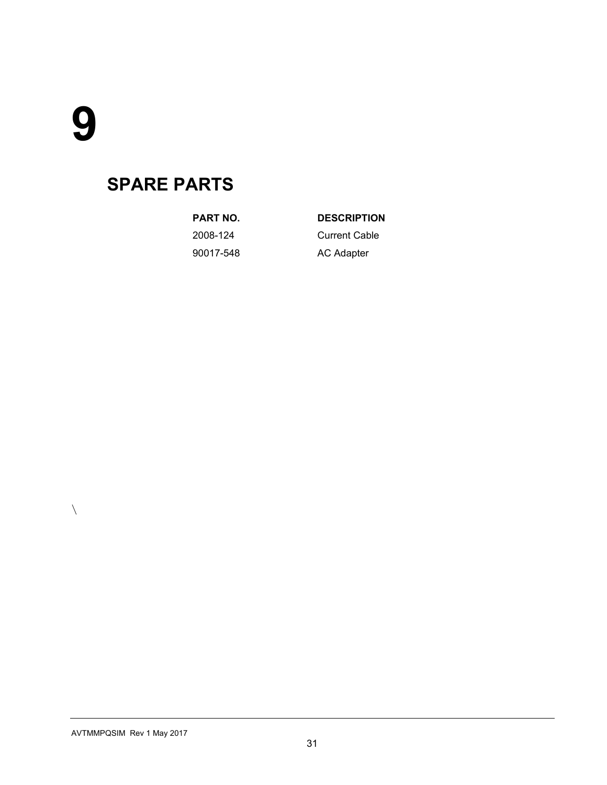## **9**

 $\setminus$ 

## **SPARE PARTS**

#### **PART NO. DESCRIPTION**

2008-124 Current Cable 90017-548 AC Adapter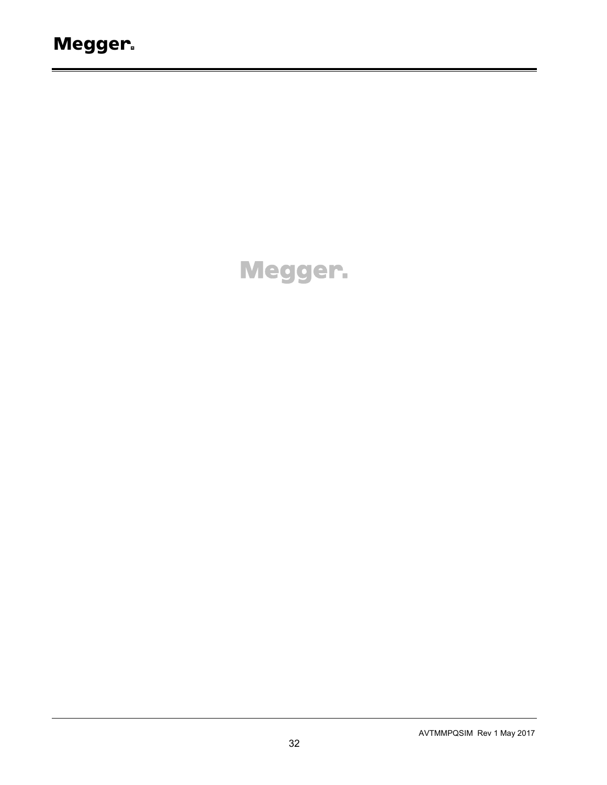## Megger.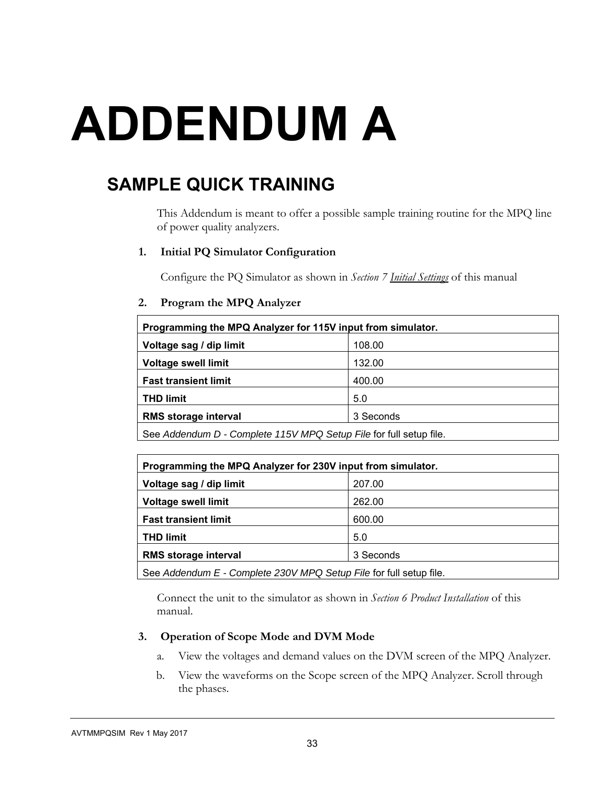## **ADDENDUM A**

### **SAMPLE QUICK TRAINING**

This Addendum is meant to offer a possible sample training routine for the MPQ line of power quality analyzers.

#### **1. Initial PQ Simulator Configuration**

Configure the PQ Simulator as shown in *Section 7 Initial Settings* of this manual

#### **2. Program the MPQ Analyzer**

| Programming the MPQ Analyzer for 115V input from simulator.        |        |  |
|--------------------------------------------------------------------|--------|--|
| Voltage sag / dip limit                                            | 108.00 |  |
| <b>Voltage swell limit</b>                                         | 132.00 |  |
| <b>Fast transient limit</b>                                        | 400.00 |  |
| <b>THD limit</b>                                                   | 5.0    |  |
| <b>RMS</b> storage interval<br>3 Seconds                           |        |  |
| See Addendum D - Complete 115V MPQ Setup File for full setup file. |        |  |

| Programming the MPQ Analyzer for 230V input from simulator.      |           |  |
|------------------------------------------------------------------|-----------|--|
| Voltage sag / dip limit                                          | 207.00    |  |
| <b>Voltage swell limit</b>                                       | 262.00    |  |
| <b>Fast transient limit</b>                                      | 600.00    |  |
| <b>THD limit</b>                                                 | 5.0       |  |
| <b>RMS storage interval</b>                                      | 3 Seconds |  |
| See Addendum E. Complete 2201/MDO Sotun File for full potun file |           |  |

See *Addendum E - Complete 230V MPQ Setup File* for full setup file.

Connect the unit to the simulator as shown in *Section 6 Product Installation* of this manual.

#### **3. Operation of Scope Mode and DVM Mode**

- a. View the voltages and demand values on the DVM screen of the MPQ Analyzer.
- b. View the waveforms on the Scope screen of the MPQ Analyzer. Scroll through the phases.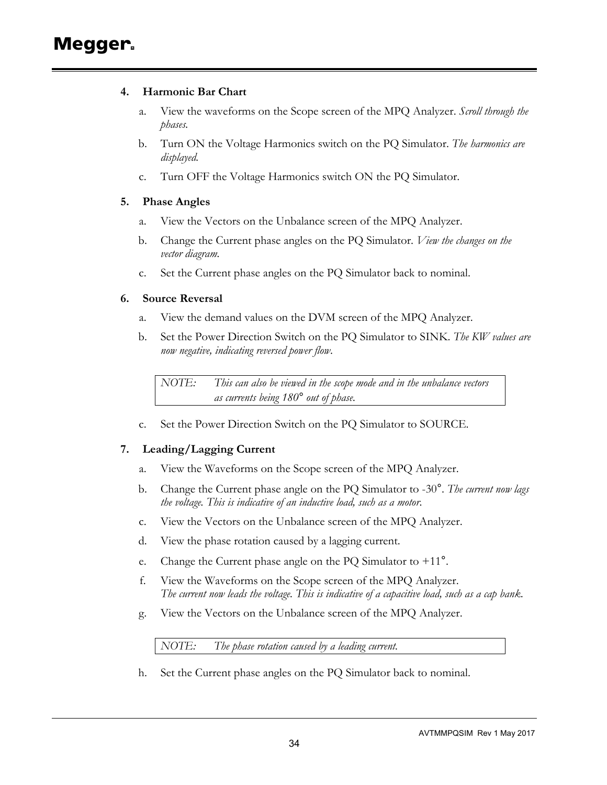#### **4. Harmonic Bar Chart**

- a. View the waveforms on the Scope screen of the MPQ Analyzer. *Scroll through the phases.*
- b. Turn ON the Voltage Harmonics switch on the PQ Simulator. *The harmonics are displayed.*
- c. Turn OFF the Voltage Harmonics switch ON the PQ Simulator.

#### **5. Phase Angles**

- a. View the Vectors on the Unbalance screen of the MPQ Analyzer.
- b. Change the Current phase angles on the PQ Simulator. *View the changes on the vector diagram.*
- c. Set the Current phase angles on the PQ Simulator back to nominal.

#### **6. Source Reversal**

- a. View the demand values on the DVM screen of the MPQ Analyzer.
- b. Set the Power Direction Switch on the PQ Simulator to SINK. *The KW values are now negative, indicating reversed power flow*.

*NOTE: This can also be viewed in the scope mode and in the unbalance vectors as currents being 180° out of phase.* 

c. Set the Power Direction Switch on the PQ Simulator to SOURCE.

#### **7. Leading/Lagging Current**

- a. View the Waveforms on the Scope screen of the MPQ Analyzer.
- b. Change the Current phase angle on the PQ Simulator to -30°. *The current now lags the voltage. This is indicative of an inductive load, such as a motor*.
- c. View the Vectors on the Unbalance screen of the MPQ Analyzer.
- d. View the phase rotation caused by a lagging current.
- e. Change the Current phase angle on the PQ Simulator to +11°.
- f. View the Waveforms on the Scope screen of the MPQ Analyzer. *The current now leads the voltage. This is indicative of a capacitive load, such as a cap bank*.
- g. View the Vectors on the Unbalance screen of the MPQ Analyzer.

*NOTE: The phase rotation caused by a leading current.* 

h. Set the Current phase angles on the PQ Simulator back to nominal.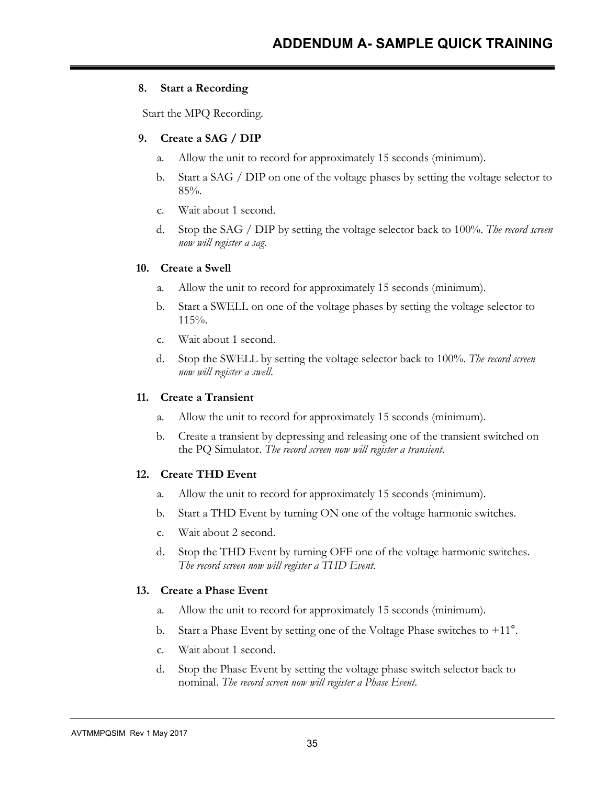#### **8. Start a Recording**

Start the MPQ Recording.

#### **9. Create a SAG / DIP**

- a. Allow the unit to record for approximately 15 seconds (minimum).
- b. Start a SAG / DIP on one of the voltage phases by setting the voltage selector to 85%.
- c. Wait about 1 second.
- d. Stop the SAG / DIP by setting the voltage selector back to 100%. *The record screen now will register a sag*.

#### **10. Create a Swell**

- a. Allow the unit to record for approximately 15 seconds (minimum).
- b. Start a SWELL on one of the voltage phases by setting the voltage selector to 115%.
- c. Wait about 1 second.
- d. Stop the SWELL by setting the voltage selector back to 100%. *The record screen now will register a swell*.

#### **11. Create a Transient**

- a. Allow the unit to record for approximately 15 seconds (minimum).
- b. Create a transient by depressing and releasing one of the transient switched on the PQ Simulator. *The record screen now will register a transient*.

#### **12. Create THD Event**

- a. Allow the unit to record for approximately 15 seconds (minimum).
- b. Start a THD Event by turning ON one of the voltage harmonic switches.
- c. Wait about 2 second.
- d. Stop the THD Event by turning OFF one of the voltage harmonic switches. *The record screen now will register a THD Event*.

#### **13. Create a Phase Event**

- a. Allow the unit to record for approximately 15 seconds (minimum).
- b. Start a Phase Event by setting one of the Voltage Phase switches to +11°.
- c. Wait about 1 second.
- d. Stop the Phase Event by setting the voltage phase switch selector back to nominal. *The record screen now will register a Phase Event*.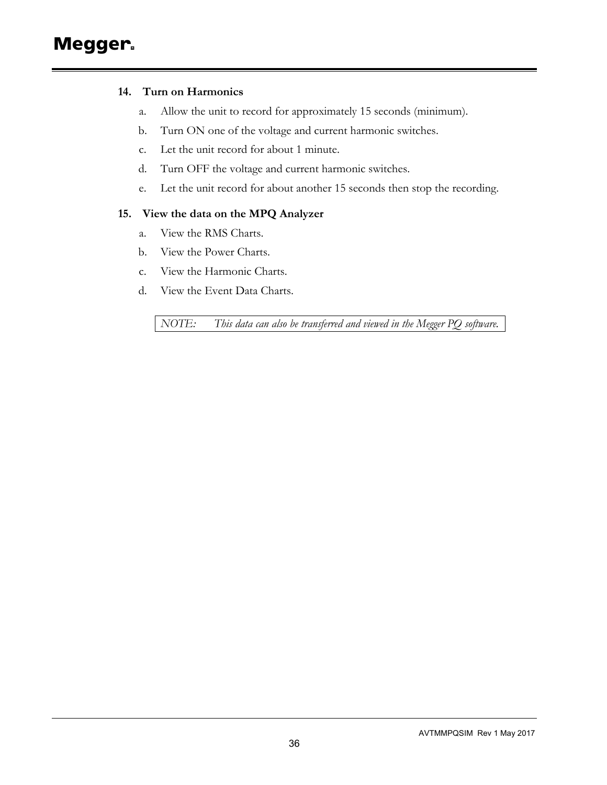#### **14. Turn on Harmonics**

- a. Allow the unit to record for approximately 15 seconds (minimum).
- b. Turn ON one of the voltage and current harmonic switches.
- c. Let the unit record for about 1 minute.
- d. Turn OFF the voltage and current harmonic switches.
- e. Let the unit record for about another 15 seconds then stop the recording.

#### **15. View the data on the MPQ Analyzer**

- a. View the RMS Charts.
- b. View the Power Charts.
- c. View the Harmonic Charts.
- d. View the Event Data Charts.

*NOTE: This data can also be transferred and viewed in the Megger PQ software.*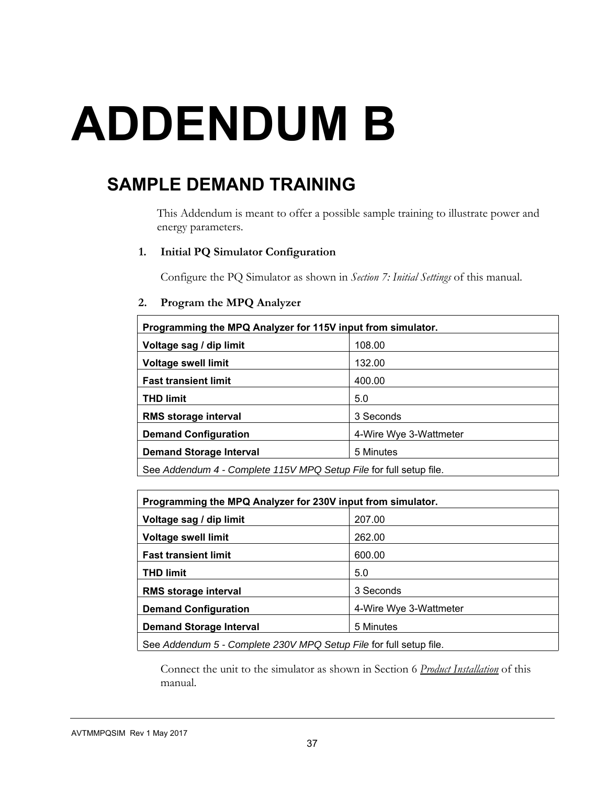## **ADDENDUM B**

### **SAMPLE DEMAND TRAINING**

This Addendum is meant to offer a possible sample training to illustrate power and energy parameters.

#### **1. Initial PQ Simulator Configuration**

Configure the PQ Simulator as shown in *Section 7: Initial Settings* of this manual.

### **2. Program the MPQ Analyzer**

| Programming the MPQ Analyzer for 115V input from simulator.        |           |  |
|--------------------------------------------------------------------|-----------|--|
| Voltage sag / dip limit                                            | 108.00    |  |
| <b>Voltage swell limit</b>                                         | 132.00    |  |
| <b>Fast transient limit</b>                                        | 400.00    |  |
| <b>THD limit</b>                                                   | 5.0       |  |
| <b>RMS storage interval</b>                                        | 3 Seconds |  |
| <b>Demand Configuration</b><br>4-Wire Wye 3-Wattmeter              |           |  |
| <b>Demand Storage Interval</b><br>5 Minutes                        |           |  |
| See Addendum 4 - Complete 115V MPO Setup File for full setup file. |           |  |

See *Addendum 4 - Complete 115V MPQ Setup File* for full setup file.

| Programming the MPQ Analyzer for 230V input from simulator.        |           |  |
|--------------------------------------------------------------------|-----------|--|
| Voltage sag / dip limit                                            | 207.00    |  |
| <b>Voltage swell limit</b>                                         | 262.00    |  |
| <b>Fast transient limit</b>                                        | 600.00    |  |
| <b>THD limit</b>                                                   | 5.0       |  |
| <b>RMS storage interval</b>                                        | 3 Seconds |  |
| 4-Wire Wye 3-Wattmeter<br><b>Demand Configuration</b>              |           |  |
| 5 Minutes<br><b>Demand Storage Interval</b>                        |           |  |
| See Addendum 5 - Complete 230V MPQ Setup File for full setup file. |           |  |

Connect the unit to the simulator as shown in Section 6 *Product Installation* of this manual.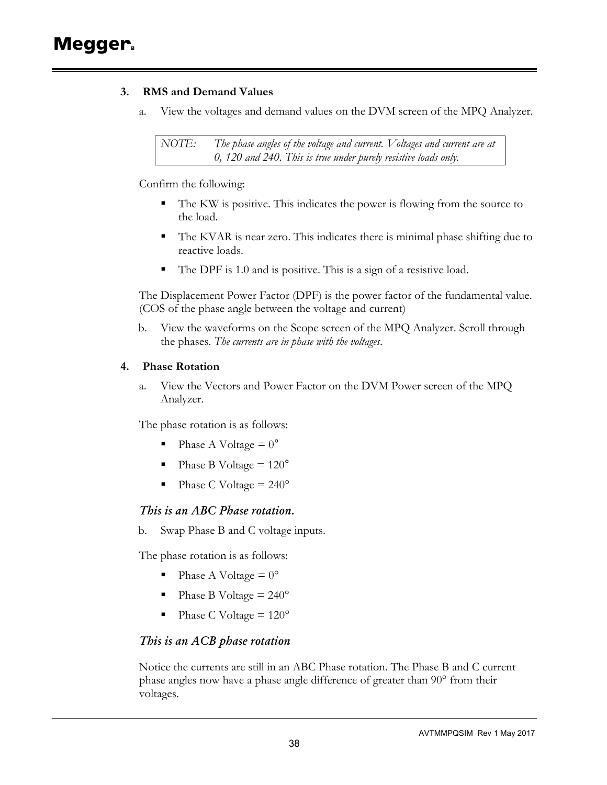#### **3. RMS and Demand Values**

a. View the voltages and demand values on the DVM screen of the MPQ Analyzer.

*NOTE: The phase angles of the voltage and current. Voltages and current are at 0, 120 and 240. This is true under purely resistive loads only.* 

Confirm the following:

- The KW is positive. This indicates the power is flowing from the source to the load.
- The KVAR is near zero. This indicates there is minimal phase shifting due to reactive loads.
- The DPF is 1.0 and is positive. This is a sign of a resistive load.

The Displacement Power Factor (DPF) is the power factor of the fundamental value. (COS of the phase angle between the voltage and current)

b. View the waveforms on the Scope screen of the MPQ Analyzer. Scroll through the phases. *The currents are in phase with the voltages*.

#### **4. Phase Rotation**

a. View the Vectors and Power Factor on the DVM Power screen of the MPQ Analyzer.

The phase rotation is as follows:

- Phase A Voltage  $= 0^{\circ}$
- Phase B Voltage  $= 120^{\circ}$
- Phase C Voltage  $= 240^{\circ}$

#### *This is an ABC Phase rotation.*

b. Swap Phase B and C voltage inputs.

The phase rotation is as follows:

- Phase A Voltage  $= 0^{\circ}$
- Phase B Voltage  $= 240^{\circ}$
- Phase C Voltage  $= 120^{\circ}$

#### *This is an ACB phase rotation*

Notice the currents are still in an ABC Phase rotation. The Phase B and C current phase angles now have a phase angle difference of greater than 90° from their voltages.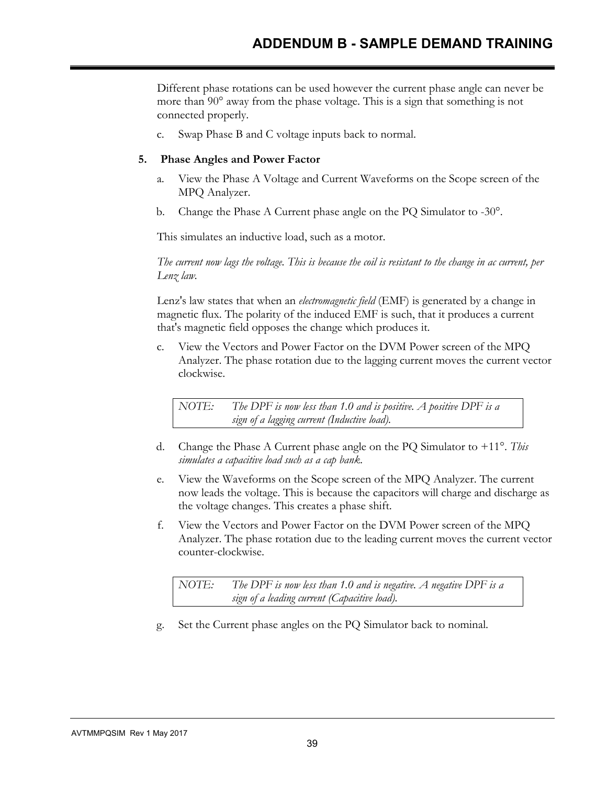Different phase rotations can be used however the current phase angle can never be more than 90° away from the phase voltage. This is a sign that something is not connected properly.

c. Swap Phase B and C voltage inputs back to normal.

#### **5. Phase Angles and Power Factor**

- a. View the Phase A Voltage and Current Waveforms on the Scope screen of the MPQ Analyzer.
- b. Change the Phase A Current phase angle on the PQ Simulator to -30°.

This simulates an inductive load, such as a motor.

*The current now lags the voltage. This is because the coil is resistant to the change in ac current, per Lenz law.* 

Lenz's law states that when an *electromagnetic field* (EMF) is generated by a change in magnetic flux. The polarity of the induced EMF is such, that it produces a current that's magnetic field opposes the change which produces it.

c. View the Vectors and Power Factor on the DVM Power screen of the MPQ Analyzer. The phase rotation due to the lagging current moves the current vector clockwise.

*NOTE: The DPF is now less than 1.0 and is positive. A positive DPF is a sign of a lagging current (Inductive load).* 

- d. Change the Phase A Current phase angle on the PQ Simulator to +11°. *This simulates a capacitive load such as a cap bank*.
- e. View the Waveforms on the Scope screen of the MPQ Analyzer. The current now leads the voltage. This is because the capacitors will charge and discharge as the voltage changes. This creates a phase shift.
- f. View the Vectors and Power Factor on the DVM Power screen of the MPQ Analyzer. The phase rotation due to the leading current moves the current vector counter-clockwise.

*NOTE: The DPF is now less than 1.0 and is negative. A negative DPF is a sign of a leading current (Capacitive load).* 

g. Set the Current phase angles on the PQ Simulator back to nominal.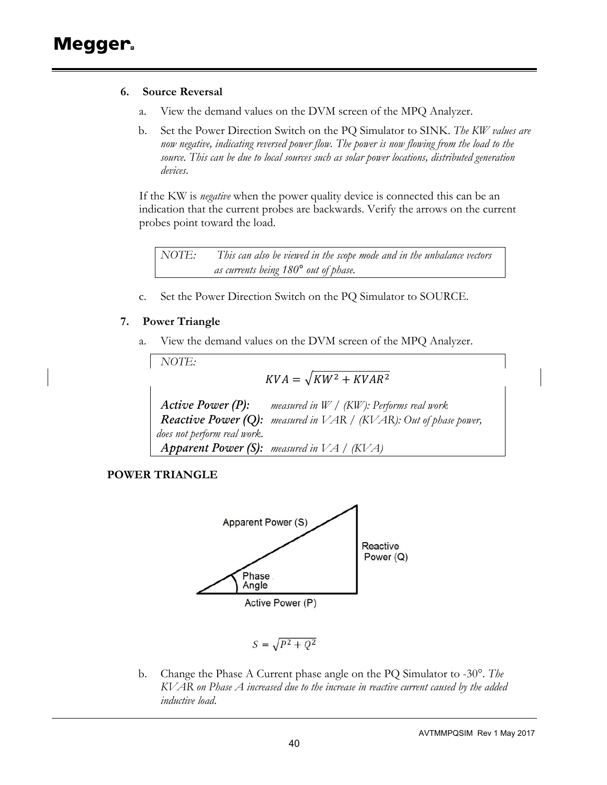#### **6. Source Reversal**

- a. View the demand values on the DVM screen of the MPQ Analyzer.
- b. Set the Power Direction Switch on the PQ Simulator to SINK. *The KW values are now negative, indicating reversed power flow. The power is now flowing from the load to the source. This can be due to local sources such as solar power locations, distributed generation devices*.

If the KW is *negative* when the power quality device is connected this can be an indication that the current probes are backwards. Verify the arrows on the current probes point toward the load.

*NOTE: This can also be viewed in the scope mode and in the unbalance vectors as currents being 180° out of phase.* 

c. Set the Power Direction Switch on the PQ Simulator to SOURCE.

#### **7. Power Triangle**

a. View the demand values on the DVM screen of the MPQ Analyzer.

*NOTE:* 

$$
KVA = \sqrt{KW^2 + KVAR^2}
$$

*Active Power (P): measured in W / (KW): Performs real work Reactive Power (Q): measured in VAR / (KVAR): Out of phase power, does not perform real work. Apparent Power (S): measured in VA / (KVA)* 

#### **POWER TRIANGLE**



b. Change the Phase A Current phase angle on the PQ Simulator to -30°. *The KVAR on Phase A increased due to the increase in reactive current caused by the added inductive load*.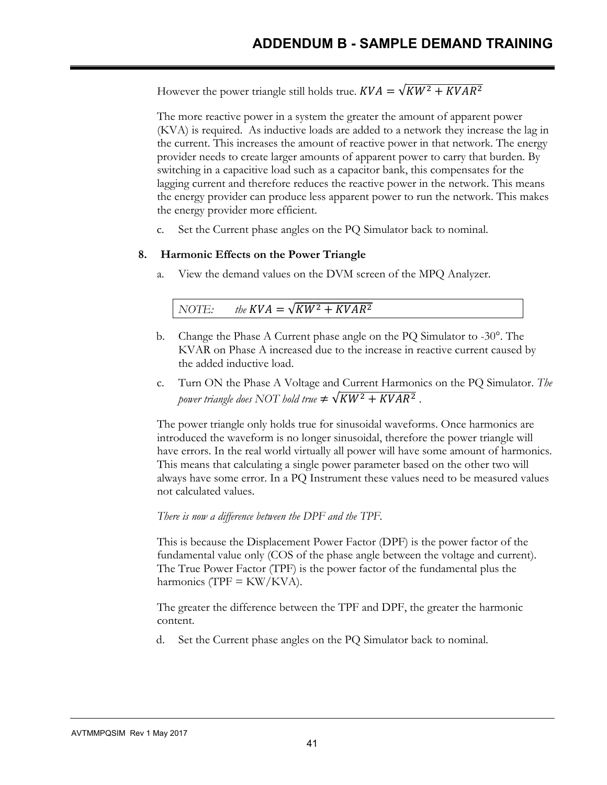However the power triangle still holds true.  $KVA = \sqrt{KW^2 + KVAR^2}$ 

The more reactive power in a system the greater the amount of apparent power (KVA) is required. As inductive loads are added to a network they increase the lag in the current. This increases the amount of reactive power in that network. The energy provider needs to create larger amounts of apparent power to carry that burden. By switching in a capacitive load such as a capacitor bank, this compensates for the lagging current and therefore reduces the reactive power in the network. This means the energy provider can produce less apparent power to run the network. This makes the energy provider more efficient.

c. Set the Current phase angles on the PQ Simulator back to nominal.

#### **8. Harmonic Effects on the Power Triangle**

a. View the demand values on the DVM screen of the MPQ Analyzer.

| NTO' | $\sqrt{KW^2+1}$<br>$\overline{AP^2}$<br>the <b>KVA</b><br>IZ 1<br>$-1$<br>$\mathbf{v}$ |  |
|------|----------------------------------------------------------------------------------------|--|
|      |                                                                                        |  |

- b. Change the Phase A Current phase angle on the PQ Simulator to -30°. The KVAR on Phase A increased due to the increase in reactive current caused by the added inductive load.
- c. Turn ON the Phase A Voltage and Current Harmonics on the PQ Simulator. *The power triangle does NOT hold true*  $\neq \sqrt{KW^2 + KVAR^2}$ .

The power triangle only holds true for sinusoidal waveforms. Once harmonics are introduced the waveform is no longer sinusoidal, therefore the power triangle will have errors. In the real world virtually all power will have some amount of harmonics. This means that calculating a single power parameter based on the other two will always have some error. In a PQ Instrument these values need to be measured values not calculated values.

#### *There is now a difference between the DPF and the TPF.*

This is because the Displacement Power Factor (DPF) is the power factor of the fundamental value only (COS of the phase angle between the voltage and current). The True Power Factor (TPF) is the power factor of the fundamental plus the harmonics (TPF  $=$  KW/KVA).

The greater the difference between the TPF and DPF, the greater the harmonic content.

d. Set the Current phase angles on the PQ Simulator back to nominal.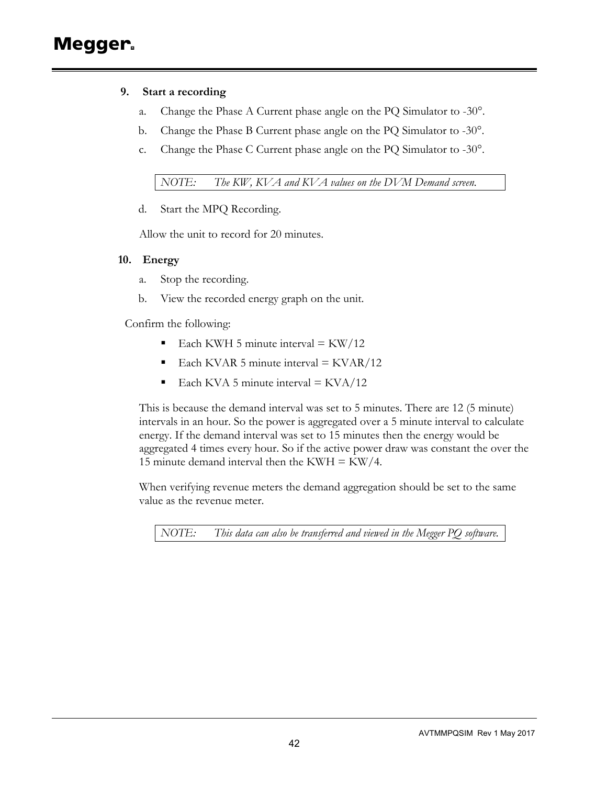#### **9. Start a recording**

- a. Change the Phase A Current phase angle on the PQ Simulator to -30°.
- b. Change the Phase B Current phase angle on the PQ Simulator to -30°.
- c. Change the Phase C Current phase angle on the PQ Simulator to -30°.

*NOTE: The KW, KVA and KVA values on the DVM Demand screen.* 

d. Start the MPQ Recording.

Allow the unit to record for 20 minutes.

#### **10. Energy**

- a. Stop the recording.
- b. View the recorded energy graph on the unit.

Confirm the following:

- Each KWH 5 minute interval  $=$  KW/12
- Each KVAR 5 minute interval  $=$  KVAR/12
- Each KVA 5 minute interval  $=$  KVA/12

This is because the demand interval was set to 5 minutes. There are 12 (5 minute) intervals in an hour. So the power is aggregated over a 5 minute interval to calculate energy. If the demand interval was set to 15 minutes then the energy would be aggregated 4 times every hour. So if the active power draw was constant the over the 15 minute demand interval then the KWH  $=$  KW/4.

When verifying revenue meters the demand aggregation should be set to the same value as the revenue meter.

*NOTE: This data can also be transferred and viewed in the Megger PQ software.*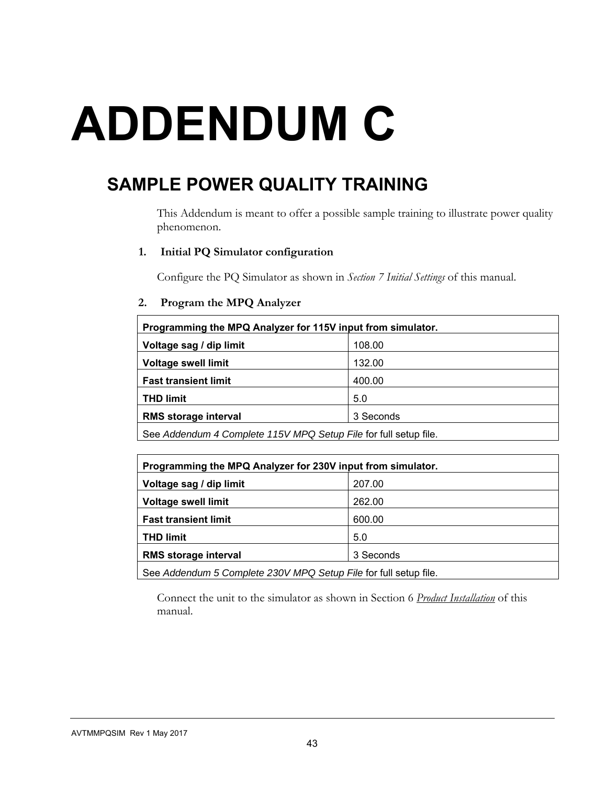## **ADDENDUM C**

## **SAMPLE POWER QUALITY TRAINING**

This Addendum is meant to offer a possible sample training to illustrate power quality phenomenon.

#### **1. Initial PQ Simulator configuration**

Configure the PQ Simulator as shown in *Section 7 Initial Settings* of this manual.

#### **2. Program the MPQ Analyzer**

| Programming the MPQ Analyzer for 115V input from simulator.      |        |  |
|------------------------------------------------------------------|--------|--|
| Voltage sag / dip limit                                          | 108.00 |  |
| <b>Voltage swell limit</b>                                       | 132.00 |  |
| <b>Fast transient limit</b>                                      | 400.00 |  |
| <b>THD limit</b>                                                 | 5.0    |  |
| <b>RMS</b> storage interval<br>3 Seconds                         |        |  |
| See Addendum 4 Complete 115V MPQ Setup File for full setup file. |        |  |

| Programming the MPQ Analyzer for 230V input from simulator.       |        |  |
|-------------------------------------------------------------------|--------|--|
| Voltage sag / dip limit                                           | 207.00 |  |
| <b>Voltage swell limit</b>                                        | 262.00 |  |
| <b>Fast transient limit</b>                                       | 600.00 |  |
| <b>THD limit</b>                                                  | 5.0    |  |
| 3 Seconds<br><b>RMS</b> storage interval                          |        |  |
| See Addendum E Complete 2201/11/DO Setup File for full potun file |        |  |

See *Addendum 5 Complete 230V MPQ Setup File* for full setup file.

Connect the unit to the simulator as shown in Section 6 *Product Installation* of this manual.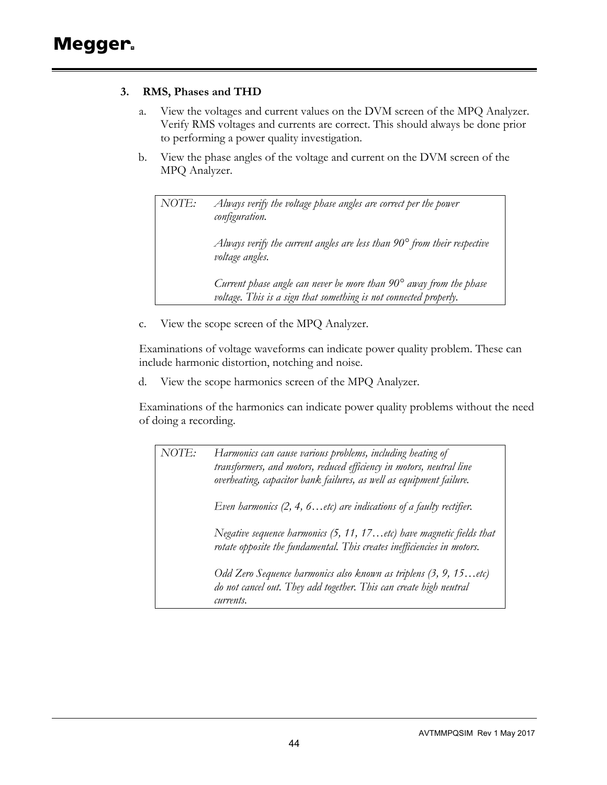#### **3. RMS, Phases and THD**

- a. View the voltages and current values on the DVM screen of the MPQ Analyzer. Verify RMS voltages and currents are correct. This should always be done prior to performing a power quality investigation.
- b. View the phase angles of the voltage and current on the DVM screen of the MPQ Analyzer.

| NOTE: | Always verify the voltage phase angles are correct per the power<br>configuration.                                                               |
|-------|--------------------------------------------------------------------------------------------------------------------------------------------------|
|       | Always verify the current angles are less than $90^{\circ}$ from their respective<br>voltage angles.                                             |
|       | Current phase angle can never be more than $90^{\circ}$ away from the phase<br>voltage. This is a sign that something is not connected properly. |

c. View the scope screen of the MPQ Analyzer.

Examinations of voltage waveforms can indicate power quality problem. These can include harmonic distortion, notching and noise.

d. View the scope harmonics screen of the MPQ Analyzer.

Examinations of the harmonics can indicate power quality problems without the need of doing a recording.

| NOTE: | Harmonics can cause various problems, including heating of<br>transformers, and motors, reduced efficiency in motors, neutral line                         |
|-------|------------------------------------------------------------------------------------------------------------------------------------------------------------|
|       | overheating, capacitor bank failures, as well as equipment failure.<br>Even harmonics $(2, 4, 6, \ldots)$ are indications of a faulty rectifier.           |
|       | Negative sequence harmonics $(5, 11, 17, \ldots$ etc) have magnetic fields that<br>rotate opposite the fundamental. This creates inefficiencies in motors. |
|       | Odd Zero Sequence harmonics also known as triplens (3, 9, 15etc)<br>do not cancel out. They add together. This can create high neutral<br>currents.        |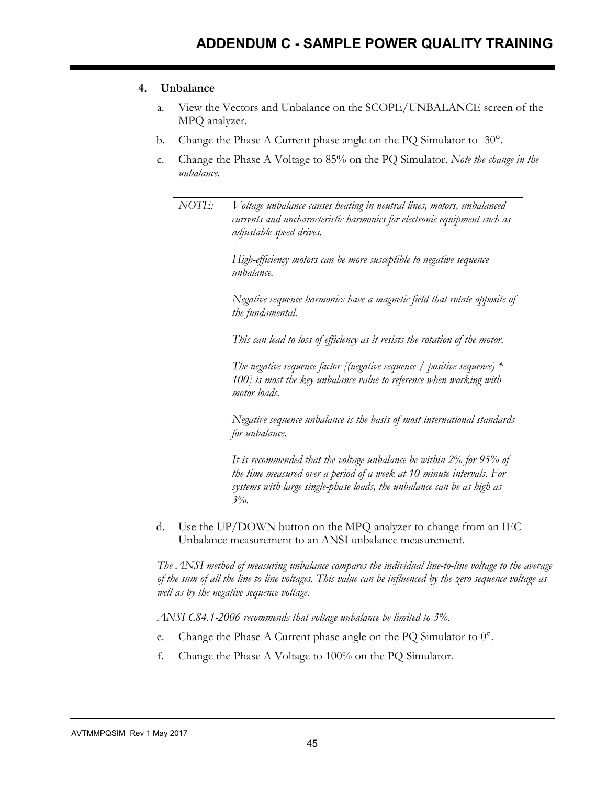#### **4. Unbalance**

- a. View the Vectors and Unbalance on the SCOPE/UNBALANCE screen of the MPQ analyzer.
- b. Change the Phase A Current phase angle on the PQ Simulator to -30°.
- c. Change the Phase A Voltage to 85% on the PQ Simulator. *Note the change in the unbalance.*

| NOTE: | Voltage unbalance causes heating in neutral lines, motors, unbalanced<br>currents and uncharacteristic harmonics for electronic equipment such as<br>adjustable speed drives.                                                    |
|-------|----------------------------------------------------------------------------------------------------------------------------------------------------------------------------------------------------------------------------------|
|       | High-efficiency motors can be more susceptible to negative sequence<br>unhalance.                                                                                                                                                |
|       | Negative sequence harmonics have a magnetic field that rotate opposite of<br>the fundamental.                                                                                                                                    |
|       | This can lead to loss of efficiency as it resists the rotation of the motor.                                                                                                                                                     |
|       | The negative sequence factor [(negative sequence   positive sequence) $*$<br>$100$ ] is most the key unbalance value to reference when working with<br>motor loads.                                                              |
|       | Negative sequence unbalance is the basis of most international standards<br>for unbalance.                                                                                                                                       |
|       | It is recommended that the voltage unbalance be within $2\%$ for 95% of<br>the time measured over a period of a week at 10 minute intervals. For<br>systems with large single-phase loads, the unbalance can be as high as<br>3% |

d. Use the UP/DOWN button on the MPQ analyzer to change from an IEC Unbalance measurement to an ANSI unbalance measurement.

*The ANSI method of measuring unbalance compares the individual line-to-line voltage to the average of the sum of all the line to line voltages. This value can be influenced by the zero sequence voltage as well as by the negative sequence voltage.* 

*ANSI C84.1-2006 recommends that voltage unbalance be limited to 3%.* 

- e. Change the Phase A Current phase angle on the PQ Simulator to 0°.
- f. Change the Phase A Voltage to 100% on the PQ Simulator.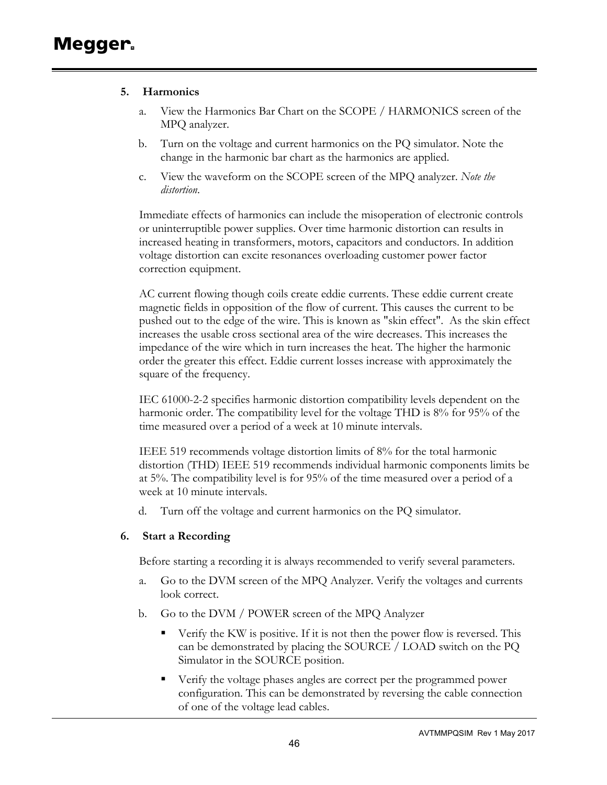#### **5. Harmonics**

- a. View the Harmonics Bar Chart on the SCOPE / HARMONICS screen of the MPQ analyzer.
- b. Turn on the voltage and current harmonics on the PQ simulator. Note the change in the harmonic bar chart as the harmonics are applied.
- c. View the waveform on the SCOPE screen of the MPQ analyzer. *Note the distortion*.

Immediate effects of harmonics can include the misoperation of electronic controls or uninterruptible power supplies. Over time harmonic distortion can results in increased heating in transformers, motors, capacitors and conductors. In addition voltage distortion can excite resonances overloading customer power factor correction equipment.

AC current flowing though coils create eddie currents. These eddie current create magnetic fields in opposition of the flow of current. This causes the current to be pushed out to the edge of the wire. This is known as "skin effect". As the skin effect increases the usable cross sectional area of the wire decreases. This increases the impedance of the wire which in turn increases the heat. The higher the harmonic order the greater this effect. Eddie current losses increase with approximately the square of the frequency.

IEC 61000-2-2 specifies harmonic distortion compatibility levels dependent on the harmonic order. The compatibility level for the voltage THD is 8% for 95% of the time measured over a period of a week at 10 minute intervals.

IEEE 519 recommends voltage distortion limits of 8% for the total harmonic distortion (THD) IEEE 519 recommends individual harmonic components limits be at 5%. The compatibility level is for 95% of the time measured over a period of a week at 10 minute intervals.

d. Turn off the voltage and current harmonics on the PQ simulator.

#### **6. Start a Recording**

Before starting a recording it is always recommended to verify several parameters.

- a. Go to the DVM screen of the MPQ Analyzer. Verify the voltages and currents look correct.
- b. Go to the DVM / POWER screen of the MPQ Analyzer
	- Verify the KW is positive. If it is not then the power flow is reversed. This can be demonstrated by placing the SOURCE / LOAD switch on the PQ Simulator in the SOURCE position.
	- Verify the voltage phases angles are correct per the programmed power configuration. This can be demonstrated by reversing the cable connection of one of the voltage lead cables.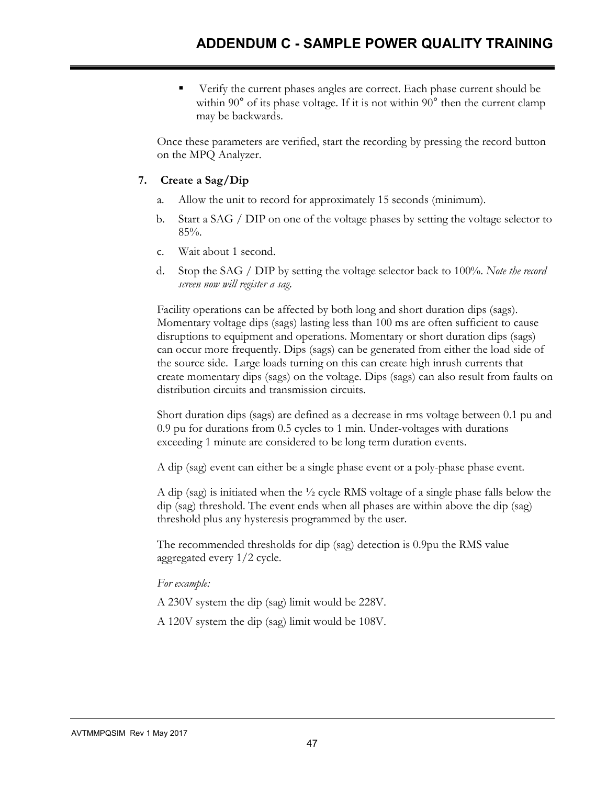Verify the current phases angles are correct. Each phase current should be within 90<sup>°</sup> of its phase voltage. If it is not within 90<sup>°</sup> then the current clamp may be backwards.

Once these parameters are verified, start the recording by pressing the record button on the MPQ Analyzer.

#### **7. Create a Sag/Dip**

- a. Allow the unit to record for approximately 15 seconds (minimum).
- b. Start a SAG / DIP on one of the voltage phases by setting the voltage selector to 85%.
- c. Wait about 1 second.
- d. Stop the SAG / DIP by setting the voltage selector back to 100%. *Note the record screen now will register a sag.*

Facility operations can be affected by both long and short duration dips (sags). Momentary voltage dips (sags) lasting less than 100 ms are often sufficient to cause disruptions to equipment and operations. Momentary or short duration dips (sags) can occur more frequently. Dips (sags) can be generated from either the load side of the source side. Large loads turning on this can create high inrush currents that create momentary dips (sags) on the voltage. Dips (sags) can also result from faults on distribution circuits and transmission circuits.

Short duration dips (sags) are defined as a decrease in rms voltage between 0.1 pu and 0.9 pu for durations from 0.5 cycles to 1 min. Under-voltages with durations exceeding 1 minute are considered to be long term duration events.

A dip (sag) event can either be a single phase event or a poly-phase phase event.

A dip (sag) is initiated when the ½ cycle RMS voltage of a single phase falls below the dip (sag) threshold. The event ends when all phases are within above the dip (sag) threshold plus any hysteresis programmed by the user.

The recommended thresholds for dip (sag) detection is 0.9pu the RMS value aggregated every 1/2 cycle.

#### *For example:*

A 230V system the dip (sag) limit would be 228V.

A 120V system the dip (sag) limit would be 108V.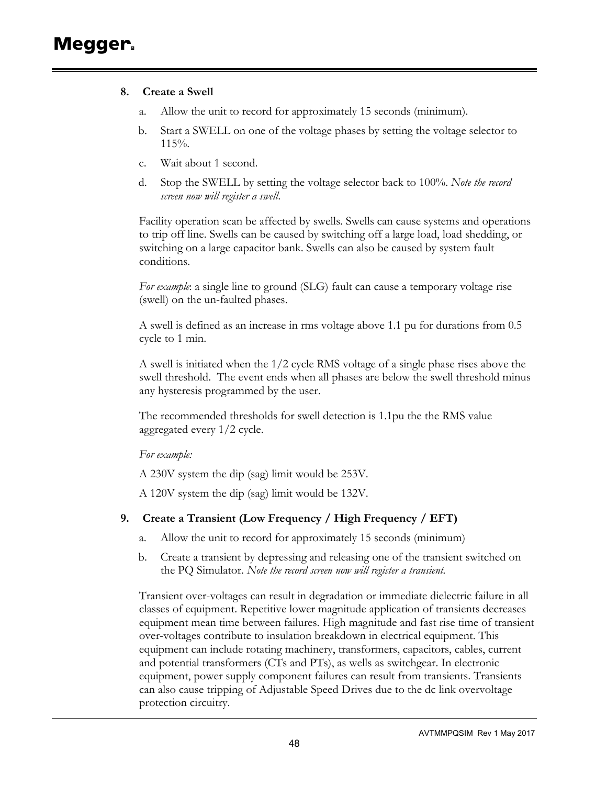#### **8. Create a Swell**

- a. Allow the unit to record for approximately 15 seconds (minimum).
- b. Start a SWELL on one of the voltage phases by setting the voltage selector to 115%.
- c. Wait about 1 second.
- d. Stop the SWELL by setting the voltage selector back to 100%. *Note the record screen now will register a swell*.

Facility operation scan be affected by swells. Swells can cause systems and operations to trip off line. Swells can be caused by switching off a large load, load shedding, or switching on a large capacitor bank. Swells can also be caused by system fault conditions.

*For example*: a single line to ground (SLG) fault can cause a temporary voltage rise (swell) on the un-faulted phases.

A swell is defined as an increase in rms voltage above 1.1 pu for durations from 0.5 cycle to 1 min.

A swell is initiated when the 1/2 cycle RMS voltage of a single phase rises above the swell threshold. The event ends when all phases are below the swell threshold minus any hysteresis programmed by the user.

The recommended thresholds for swell detection is 1.1pu the the RMS value aggregated every 1/2 cycle.

#### *For example:*

A 230V system the dip (sag) limit would be 253V.

A 120V system the dip (sag) limit would be 132V.

#### **9. Create a Transient (Low Frequency / High Frequency / EFT)**

- a. Allow the unit to record for approximately 15 seconds (minimum)
- b. Create a transient by depressing and releasing one of the transient switched on the PQ Simulator. *Note the record screen now will register a transient.*

Transient over-voltages can result in degradation or immediate dielectric failure in all classes of equipment. Repetitive lower magnitude application of transients decreases equipment mean time between failures. High magnitude and fast rise time of transient over-voltages contribute to insulation breakdown in electrical equipment. This equipment can include rotating machinery, transformers, capacitors, cables, current and potential transformers (CTs and PTs), as wells as switchgear. In electronic equipment, power supply component failures can result from transients. Transients can also cause tripping of Adjustable Speed Drives due to the dc link overvoltage protection circuitry.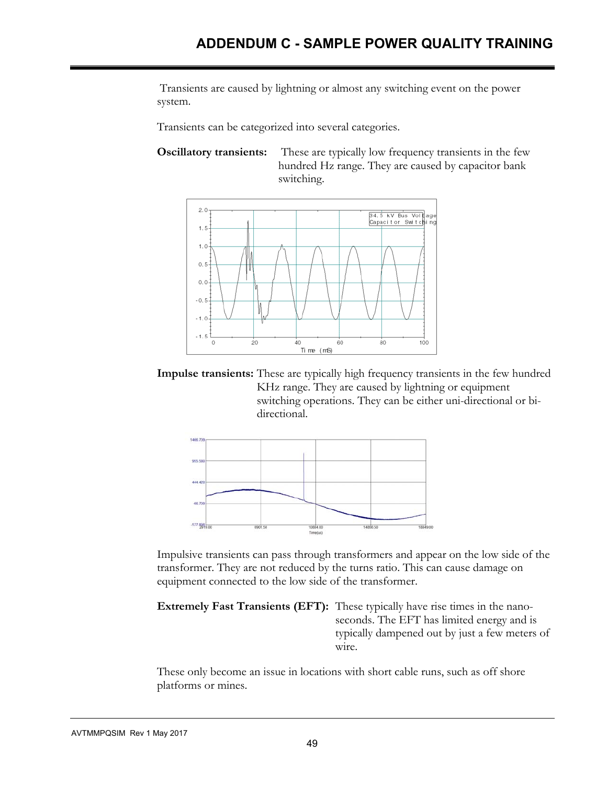Transients are caused by lightning or almost any switching event on the power system.

Transients can be categorized into several categories.

**Oscillatory transients:** These are typically low frequency transients in the few hundred Hz range. They are caused by capacitor bank switching.



**Impulse transients:** These are typically high frequency transients in the few hundred KHz range. They are caused by lightning or equipment switching operations. They can be either uni-directional or bidirectional.



Impulsive transients can pass through transformers and appear on the low side of the transformer. They are not reduced by the turns ratio. This can cause damage on equipment connected to the low side of the transformer.

**Extremely Fast Transients (EFT):** These typically have rise times in the nanoseconds. The EFT has limited energy and is typically dampened out by just a few meters of wire.

These only become an issue in locations with short cable runs, such as off shore platforms or mines.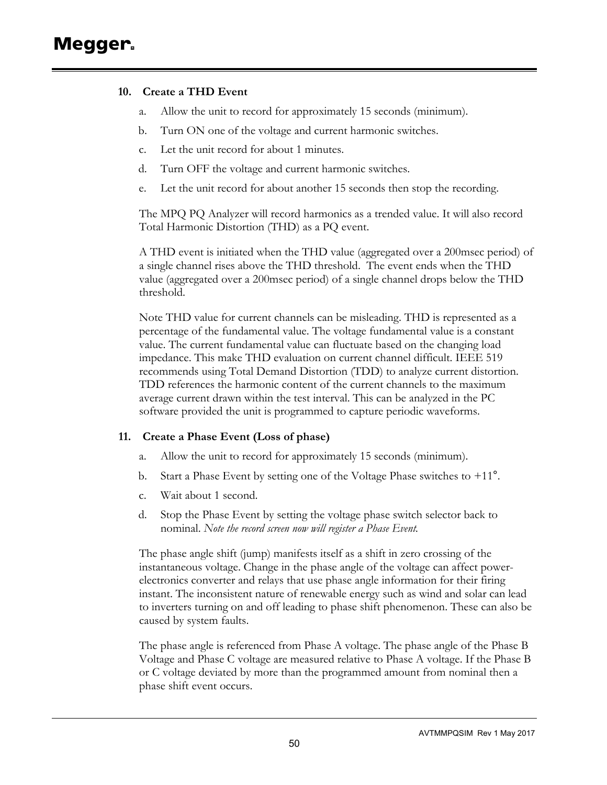#### **10. Create a THD Event**

- a. Allow the unit to record for approximately 15 seconds (minimum).
- b. Turn ON one of the voltage and current harmonic switches.
- c. Let the unit record for about 1 minutes.
- d. Turn OFF the voltage and current harmonic switches.
- e. Let the unit record for about another 15 seconds then stop the recording.

The MPQ PQ Analyzer will record harmonics as a trended value. It will also record Total Harmonic Distortion (THD) as a PQ event.

A THD event is initiated when the THD value (aggregated over a 200msec period) of a single channel rises above the THD threshold. The event ends when the THD value (aggregated over a 200msec period) of a single channel drops below the THD threshold.

Note THD value for current channels can be misleading. THD is represented as a percentage of the fundamental value. The voltage fundamental value is a constant value. The current fundamental value can fluctuate based on the changing load impedance. This make THD evaluation on current channel difficult. IEEE 519 recommends using Total Demand Distortion (TDD) to analyze current distortion. TDD references the harmonic content of the current channels to the maximum average current drawn within the test interval. This can be analyzed in the PC software provided the unit is programmed to capture periodic waveforms.

#### **11. Create a Phase Event (Loss of phase)**

- a. Allow the unit to record for approximately 15 seconds (minimum).
- b. Start a Phase Event by setting one of the Voltage Phase switches to +11°.
- c. Wait about 1 second.
- d. Stop the Phase Event by setting the voltage phase switch selector back to nominal. *Note the record screen now will register a Phase Event.*

The phase angle shift (jump) manifests itself as a shift in zero crossing of the instantaneous voltage. Change in the phase angle of the voltage can affect powerelectronics converter and relays that use phase angle information for their firing instant. The inconsistent nature of renewable energy such as wind and solar can lead to inverters turning on and off leading to phase shift phenomenon. These can also be caused by system faults.

The phase angle is referenced from Phase A voltage. The phase angle of the Phase B Voltage and Phase C voltage are measured relative to Phase A voltage. If the Phase B or C voltage deviated by more than the programmed amount from nominal then a phase shift event occurs.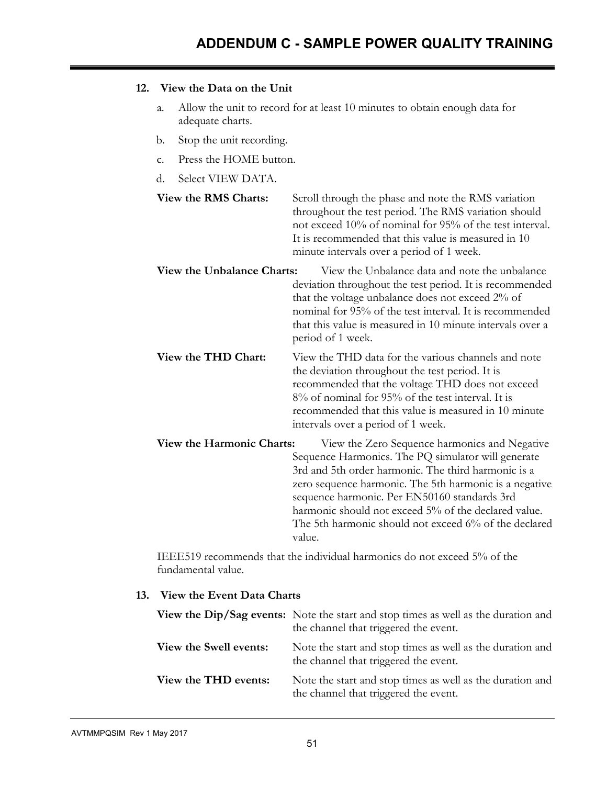#### **12. View the Data on the Unit**

- a. Allow the unit to record for at least 10 minutes to obtain enough data for adequate charts.
- b. Stop the unit recording.
- c. Press the HOME button.
- d. Select VIEW DATA.

| <b>View the RMS Charts:</b>       | Scroll through the phase and note the RMS variation<br>throughout the test period. The RMS variation should<br>not exceed 10% of nominal for 95% of the test interval.<br>It is recommended that this value is measured in 10<br>minute intervals over a period of 1 week.                                                                                                                      |
|-----------------------------------|-------------------------------------------------------------------------------------------------------------------------------------------------------------------------------------------------------------------------------------------------------------------------------------------------------------------------------------------------------------------------------------------------|
| <b>View the Unbalance Charts:</b> | View the Unbalance data and note the unbalance<br>deviation throughout the test period. It is recommended<br>that the voltage unbalance does not exceed 2% of<br>nominal for 95% of the test interval. It is recommended<br>that this value is measured in 10 minute intervals over a<br>period of 1 week.                                                                                      |
| View the THD Chart:               | View the THD data for the various channels and note<br>the deviation throughout the test period. It is<br>recommended that the voltage THD does not exceed<br>8% of nominal for 95% of the test interval. It is<br>recommended that this value is measured in 10 minute<br>intervals over a period of 1 week.                                                                                   |
| <b>View the Harmonic Charts:</b>  | View the Zero Sequence harmonics and Negative<br>Sequence Harmonics. The PQ simulator will generate<br>3rd and 5th order harmonic. The third harmonic is a<br>zero sequence harmonic. The 5th harmonic is a negative<br>sequence harmonic. Per EN50160 standards 3rd<br>harmonic should not exceed 5% of the declared value.<br>The 5th harmonic should not exceed 6% of the declared<br>value. |

IEEE519 recommends that the individual harmonics do not exceed 5% of the fundamental value.

#### **13. View the Event Data Charts**

|                        | <b>View the Dip/Sag events:</b> Note the start and stop times as well as the duration and<br>the channel that triggered the event. |
|------------------------|------------------------------------------------------------------------------------------------------------------------------------|
| View the Swell events: | Note the start and stop times as well as the duration and<br>the channel that triggered the event.                                 |
| View the THD events:   | Note the start and stop times as well as the duration and<br>the channel that triggered the event.                                 |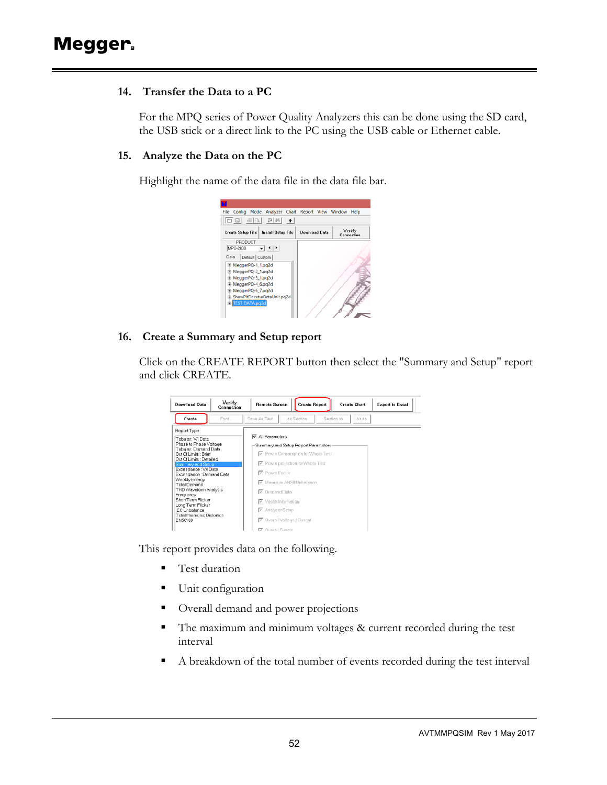#### **14. Transfer the Data to a PC**

For the MPQ series of Power Quality Analyzers this can be done using the SD card, the USB stick or a direct link to the PC using the USB cable or Ethernet cable.

#### **15. Analyze the Data on the PC**

Highlight the name of the data file in the data file bar.

| File Config Mode Analyzer Chart Report View Window                                                                                                                 |                      | Help                 |
|--------------------------------------------------------------------------------------------------------------------------------------------------------------------|----------------------|----------------------|
| $\Box \Box \quad \textcircled{\scriptsize{\#}} \Box \quad \textcircled{\scriptsize{\#}} \quad \textcircled{\scriptsize{\ast}} \quad \textbullet \quad \textbullet$ |                      |                      |
| Create Setup File   Install Setup File                                                                                                                             | <b>Download Data</b> | Verify<br>Connection |
| PRODUCT                                                                                                                                                            |                      |                      |
| $\mathbf{r}$ $\mathbf{t}$ $\mathbf{r}$<br>MPQ-2000                                                                                                                 |                      |                      |
| Default Custom<br>Data                                                                                                                                             |                      |                      |
| E MeggerPQ-1_1.pg2d                                                                                                                                                |                      |                      |
| E-MeggerPQ-2_1.pg2d                                                                                                                                                |                      |                      |
| E-MeggerPQ-3_1.pg2d                                                                                                                                                |                      |                      |
| E-MeggerPQ-4_6.pg2d                                                                                                                                                |                      |                      |
| El-MeggerPQ-6_7.pg2d                                                                                                                                               |                      |                      |
| El ShawPItDecaturBetaUnit.pq2d                                                                                                                                     |                      |                      |
| <b>TEST DATA.pg2d</b>                                                                                                                                              |                      |                      |
|                                                                                                                                                                    |                      |                      |
|                                                                                                                                                                    |                      |                      |

#### **16. Create a Summary and Setup report**

Click on the CREATE REPORT button then select the "Summary and Setup" report and click CREATE.



This report provides data on the following.

- Test duration
- Unit configuration
- Overall demand and power projections
- The maximum and minimum voltages & current recorded during the test interval
- A breakdown of the total number of events recorded during the test interval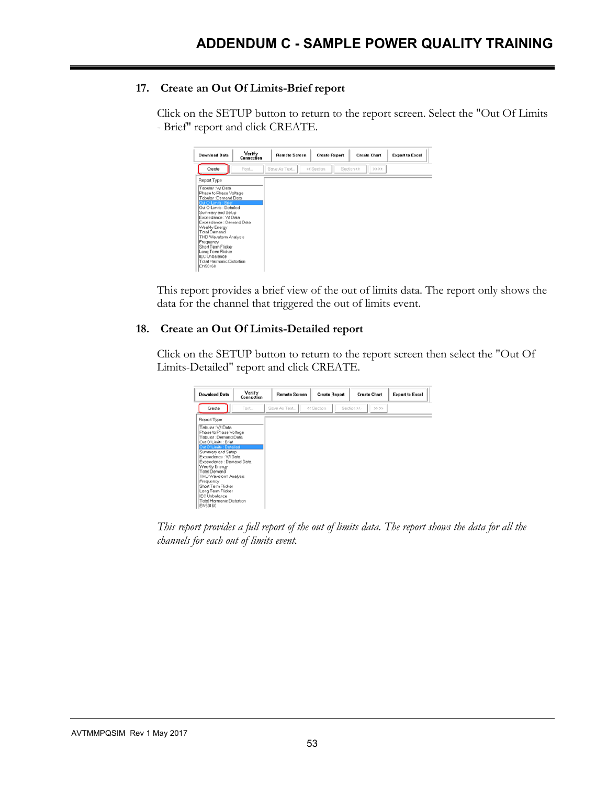#### **17. Create an Out Of Limits-Brief report**

Click on the SETUP button to return to the report screen. Select the "Out Of Limits - Brief" report and click CREATE.



This report provides a brief view of the out of limits data. The report only shows the data for the channel that triggered the out of limits event.

#### **18. Create an Out Of Limits-Detailed report**

Click on the SETUP button to return to the report screen then select the "Out Of Limits-Detailed" report and click CREATE.

| <b>Download Data</b>                                                                                                                                                                                                                                                                                                                                                                                     | Verify<br>Connection | <b>Remote Screen</b> | <b>Create Report</b> | <b>Create Chart</b> | <b>Export to Excel</b> |
|----------------------------------------------------------------------------------------------------------------------------------------------------------------------------------------------------------------------------------------------------------------------------------------------------------------------------------------------------------------------------------------------------------|----------------------|----------------------|----------------------|---------------------|------------------------|
| Create                                                                                                                                                                                                                                                                                                                                                                                                   | Font                 | Save As Text         | << Section           | Section >><br>35.55 |                        |
| Report Type<br>Tabular: V/I Data<br>Phase to Phase Voltage<br>Tabular: Demand Data<br>Out Of Limits : Brief<br>Out Of Limits : Detailed<br>Summary and Setup<br>Exceedance: V/I Data<br>Exceedance: Demand Data<br>Weekly Energy<br><b>Total Demand</b><br>THD Waveform Analysis<br>Frequency<br>Short Term Flicker<br>Long Term Flicker<br><b>IEC Unbalance</b><br>Total Harmonic Distortion<br>EN50160 |                      |                      |                      |                     |                        |

*This report provides a full report of the out of limits data. The report shows the data for all the channels for each out of limits event.*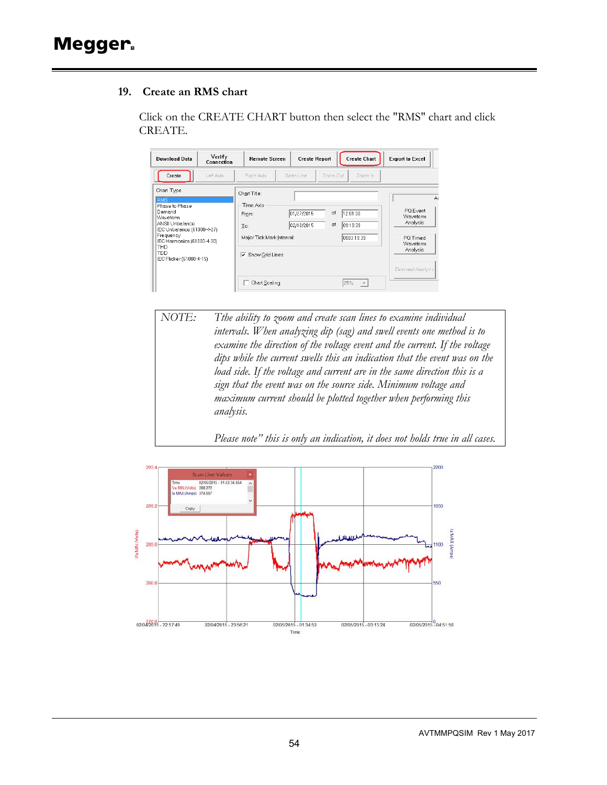#### **19. Create an RMS chart**

Click on the CREATE CHART button then select the "RMS" chart and click CREATE.

| <b>Download Data</b>                                                                                                                                                                                          | Verify<br>Connection | <b>Remote Screen</b>                                                                                                                              | <b>Create Report</b>     |          | <b>Create Chart</b>                                               | <b>Export to Excel</b>                                                                        |
|---------------------------------------------------------------------------------------------------------------------------------------------------------------------------------------------------------------|----------------------|---------------------------------------------------------------------------------------------------------------------------------------------------|--------------------------|----------|-------------------------------------------------------------------|-----------------------------------------------------------------------------------------------|
| Create                                                                                                                                                                                                        | Left Axis            | Right Axis                                                                                                                                        | Scan Line                | Zoom Out | Zoom In                                                           |                                                                                               |
| Chart Type<br><b>RMS</b><br>Phase to Phase<br>Demand<br>Waveform<br>ANSII Unbalance<br>IEC Unbalance (61000-4-27)<br>Frequency<br>IEC Harmonics (61000-4-30)<br><b>THD</b><br>TDD<br>IEC Flicker (61000-4-15) |                      | Chart Title:<br>Time Axis<br>From:<br>$\text{To:}$<br>Major Tick Mark Interval:<br>Show Grid Lines<br>⊽<br>$\overline{\phantom{a}}$ Chart Scaling | 01/27/2015<br>02/10/2015 | at<br>at | 12:01:00<br>09:19:39<br>0083:19:39<br>25%<br>$\blacktriangledown$ | A(<br>PO Event<br>Waveform<br>Analysis<br>PO Timed<br>Waveform<br>Analysis<br>Demand Analysis |



*Please note" this is only an indication, it does not holds true in all cases.* 

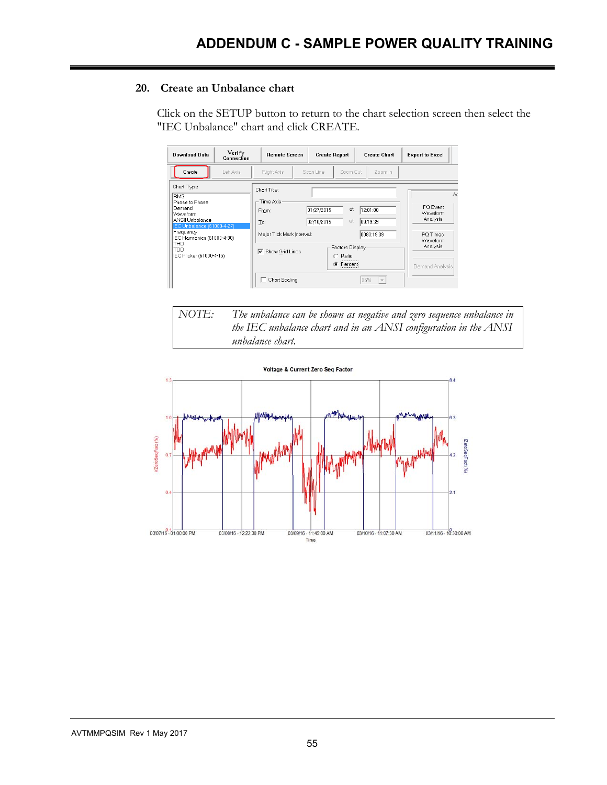#### **20. Create an Unbalance chart**

Click on the SETUP button to return to the chart selection screen then select the "IEC Unbalance" chart and click CREATE.





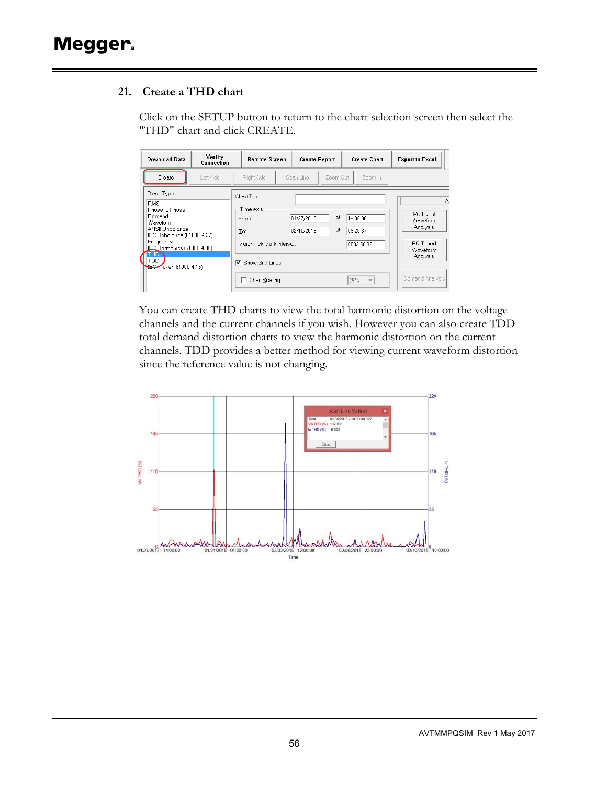#### **21. Create a THD chart**

Click on the SETUP button to return to the chart selection screen then select the "THD" chart and click CREATE.

| Download Data                                                                                                                                                                                                       | Verify<br>Connection | <b>Remote Screen</b>                                                                                              | <b>Create Report</b>     |          | <b>Create Chart</b>                  | <b>Export to Excel</b>                                                    |
|---------------------------------------------------------------------------------------------------------------------------------------------------------------------------------------------------------------------|----------------------|-------------------------------------------------------------------------------------------------------------------|--------------------------|----------|--------------------------------------|---------------------------------------------------------------------------|
| Create                                                                                                                                                                                                              | Left Axis            | <b>Right Axis</b>                                                                                                 | Scan Line                | Zoom Out | Zoom In                              |                                                                           |
| Chart Type<br><b>BMS</b><br>Phase to Phase<br>Demand<br>Waveform<br>ANSII Unbalance<br>IEC Unbalance (61000-4-27)<br>Frequency<br>IEC Harmonics (61000-4-30)<br>THD<br><b>TDD</b><br><b>EC-Plicker</b> (61000-4-15) |                      | Chart Title:<br>Time Axis<br>From:<br>To:<br>Major Tick Mark Interval:<br>$\overline{\mathbf{v}}$ Show Grid Lines | 01/27/2015<br>02/10/2015 | at<br>at | l14:00:00.<br>09:20:37<br>0082:50:09 | А<br>PQ Event<br>Waveform<br>Analysis<br>PQ Timed<br>Waveform<br>Analysis |
|                                                                                                                                                                                                                     |                      | Chart Scaling                                                                                                     |                          |          | 25%<br>$\lnot$                       | Demand Analysis                                                           |

You can create THD charts to view the total harmonic distortion on the voltage channels and the current channels if you wish. However you can also create TDD total demand distortion charts to view the harmonic distortion on the current channels. TDD provides a better method for viewing current waveform distortion since the reference value is not changing.

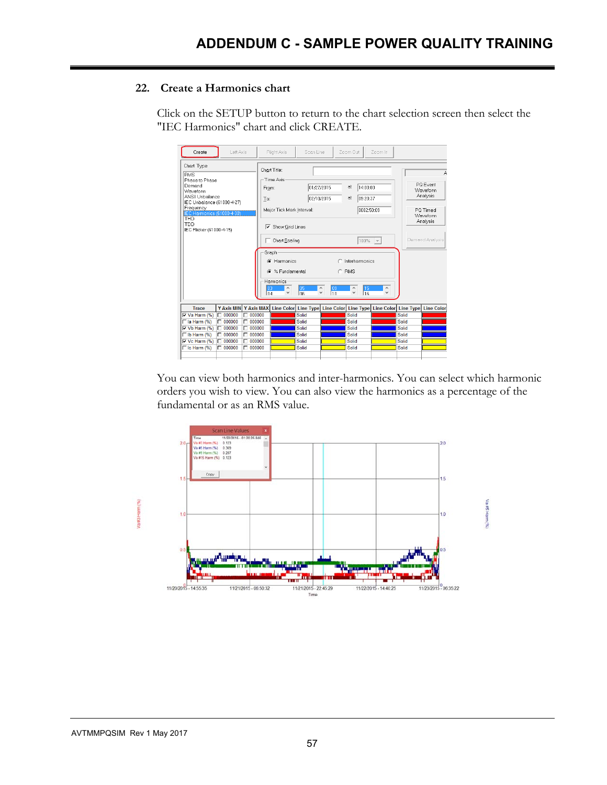#### **22. Create a Harmonics chart**

Click on the SETUP button to return to the chart selection screen then select the "IEC Harmonics" chart and click CREATE.

| Create                                     | Left Axis                      |                         |       | Right Axis                | Scan Line                                                                 |                 | Zoom Out       |                 | Zoom In |                |                      |
|--------------------------------------------|--------------------------------|-------------------------|-------|---------------------------|---------------------------------------------------------------------------|-----------------|----------------|-----------------|---------|----------------|----------------------|
| Chart Type                                 |                                |                         |       | Chart Title:              |                                                                           |                 |                |                 |         |                |                      |
| <b>BMS</b>                                 |                                |                         |       |                           |                                                                           |                 |                |                 |         |                |                      |
| Phase to Phase<br>Demand                   |                                |                         |       | Time Axis                 |                                                                           |                 |                |                 |         |                | PO Event             |
| Waveform                                   |                                |                         | From: |                           | 01/27/2015                                                                |                 | at             | 14:00:00        |         |                | Waveform             |
| <b>ANSII Unbalance</b>                     |                                |                         | To:   |                           | 02/10/2015                                                                |                 | at             | 09:20:37        |         |                | Analysis             |
| IEC Unbalance (61000-4-27)                 |                                |                         |       |                           |                                                                           |                 |                |                 |         |                |                      |
| Frequency<br>IEC Harmonics (61000-4-30)    |                                |                         |       | Major Tick Mark Interval: |                                                                           |                 |                | 0082:50:09      |         |                | PQ Timed             |
| <b>THD</b>                                 |                                |                         |       |                           |                                                                           |                 |                |                 |         |                | Waveform<br>Analysis |
| TDD                                        |                                |                         | ⊽     | Show Grid Lines           |                                                                           |                 |                |                 |         |                |                      |
| IEC Flicker (61000-4-15)                   |                                |                         |       |                           |                                                                           |                 |                |                 |         |                |                      |
|                                            |                                |                         |       | Chart Scaling             |                                                                           |                 |                | $100%$ $=$      |         |                | Demand Analysis      |
|                                            |                                |                         |       |                           |                                                                           |                 |                |                 |         |                |                      |
|                                            |                                |                         |       | Graph                     |                                                                           |                 |                |                 |         |                |                      |
|                                            |                                |                         |       | G Harmonics               |                                                                           |                 |                | Interharmonics  |         |                |                      |
|                                            |                                |                         |       | C % Fundamental           |                                                                           | ◠               | <b>RMS</b>     |                 |         |                |                      |
|                                            |                                |                         |       | Harmonics                 |                                                                           |                 |                |                 |         |                |                      |
|                                            |                                |                         | 03    | ۸                         | $\hat{\cdot}$                                                             |                 | $\hat{\cdot}$  | $\frac{15}{16}$ | $\land$ |                |                      |
|                                            |                                |                         | n4    | $\checkmark$              | $\frac{05}{06}$                                                           | $\frac{09}{10}$ |                |                 |         |                |                      |
|                                            |                                |                         |       |                           |                                                                           |                 |                |                 |         |                |                      |
| Trace                                      | Y Axis MIN Y Axis MAX          |                         |       |                           | Line Color Line Type Line Color Line Type Line Color Line Type Line Color |                 |                |                 |         |                |                      |
| $\nabla$ Va Harm (%)                       | 000000<br>п                    | 000000                  |       |                           | Solid                                                                     |                 | <b>Solid</b>   |                 |         | Solid          |                      |
| $\Box$ Ia Harm (%)                         | $\Box$ 000000<br>$\Box$ 000000 | $\Box$ 000000<br>000000 |       |                           | Solid<br>Solid                                                            |                 | Solid<br>Solid |                 |         | Solid<br>Solid |                      |
| $\nabla$ Vb Harm (%)<br>$\Box$ Ib Harm (%) | $\Box$ 000000                  | г.<br>$\Box$ 000000     |       |                           | Solid                                                                     |                 | <b>Solid</b>   |                 |         | Solid          |                      |
| Vc Harm (%)   000000                       |                                | 000000<br>г.            |       |                           | Solid                                                                     |                 | <b>Solid</b>   |                 |         | Solid          |                      |
| $\Box$ Ic Harm (%)                         | $\Box$ 000000                  | $\Box$ 000000           |       |                           | Solid                                                                     |                 | <b>Solid</b>   |                 |         | Solid          |                      |
|                                            |                                |                         |       |                           |                                                                           |                 |                |                 |         |                |                      |
|                                            |                                |                         |       |                           |                                                                           |                 |                |                 |         |                |                      |

You can view both harmonics and inter-harmonics. You can select which harmonic orders you wish to view. You can also view the harmonics as a percentage of the fundamental or as an RMS value.

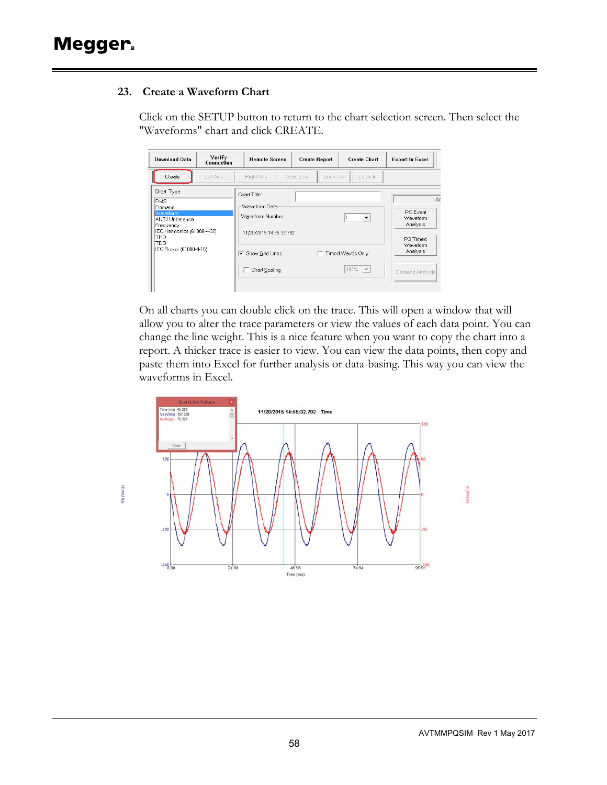#### **23. Create a Waveform Chart**

Click on the SETUP button to return to the chart selection screen. Then select the "Waveforms" chart and click CREATE.

| <b>Download Data</b>                                                                                                              | Verify<br>Connection | <b>Remote Screen</b>                                                         |  | <b>Create Report</b>  | <b>Create Chart</b>                                           | <b>Export to Excel</b>      |  |
|-----------------------------------------------------------------------------------------------------------------------------------|----------------------|------------------------------------------------------------------------------|--|-----------------------|---------------------------------------------------------------|-----------------------------|--|
| Create                                                                                                                            | Left Axis            | Right Axis                                                                   |  | Scan Line<br>Zoom Out | Zoom In                                                       |                             |  |
| Chart Type<br><b>RMS</b><br>Demand<br>Waveform<br>ANSII Unbalance<br>Frequency<br>IEC Harmonics (61000-4-30)<br>THD<br><b>TDD</b> |                      | Chart Title:<br>Waveform Data<br>Waveform Number:<br>11/20/2015 14:55:32.792 |  | $\blacktriangledown$  | А<br>PO Event<br>Waveform<br>Analysis<br>PQ Timed<br>Waveform |                             |  |
| IEC Flicker (61000-4-15)                                                                                                          |                      | Show Grid Lines<br>⊽<br>Chart Scaling                                        |  |                       | Timed Waves Only<br>$ 100\% $ –                               | Analysis<br>Demand Analysis |  |

On all charts you can double click on the trace. This will open a window that will allow you to alter the trace parameters or view the values of each data point. You can change the line weight. This is a nice feature when you want to copy the chart into a report. A thicker trace is easier to view. You can view the data points, then copy and paste them into Excel for further analysis or data-basing. This way you can view the waveforms in Excel.

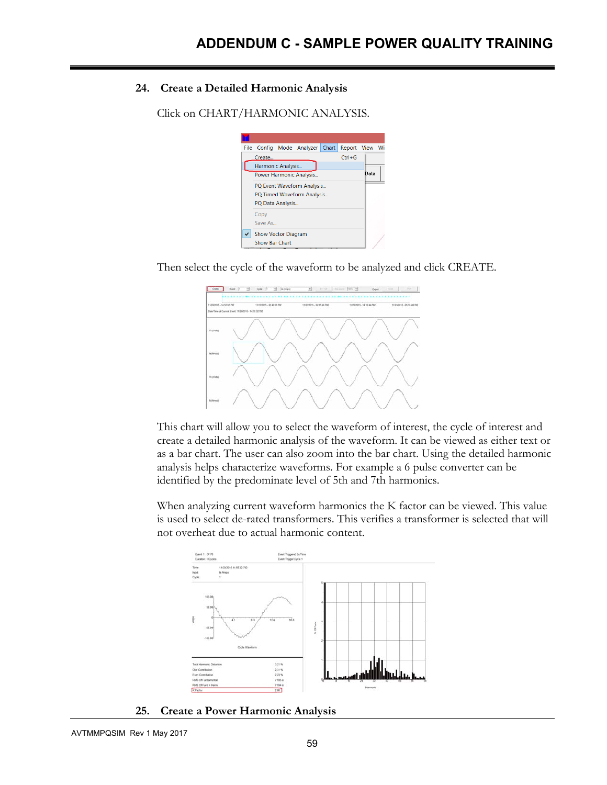#### **24. Create a Detailed Harmonic Analysis**

Click on CHART/HARMONIC ANALYSIS.



Then select the cycle of the waveform to be analyzed and click CREATE.



This chart will allow you to select the waveform of interest, the cycle of interest and create a detailed harmonic analysis of the waveform. It can be viewed as either text or as a bar chart. The user can also zoom into the bar chart. Using the detailed harmonic analysis helps characterize waveforms. For example a 6 pulse converter can be identified by the predominate level of 5th and 7th harmonics.

When analyzing current waveform harmonics the K factor can be viewed. This value is used to select de-rated transformers. This verifies a transformer is selected that will not overheat due to actual harmonic content.



**25. Create a Power Harmonic Analysis** 

AVTMMPQSIM Rev 1 May 2017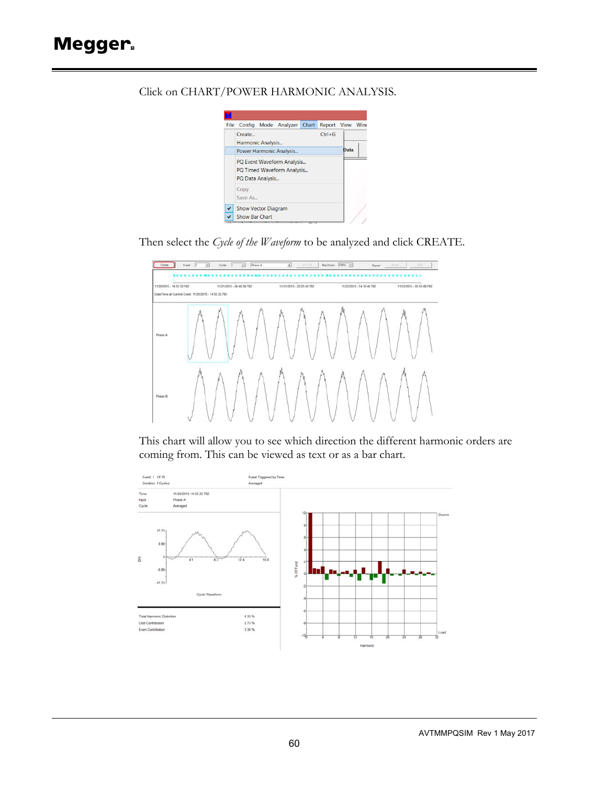

Then select the *Cycle of the Waveform* to be analyzed and click CREATE.



This chart will allow you to see which direction the different harmonic orders are coming from. This can be viewed as text or as a bar chart.

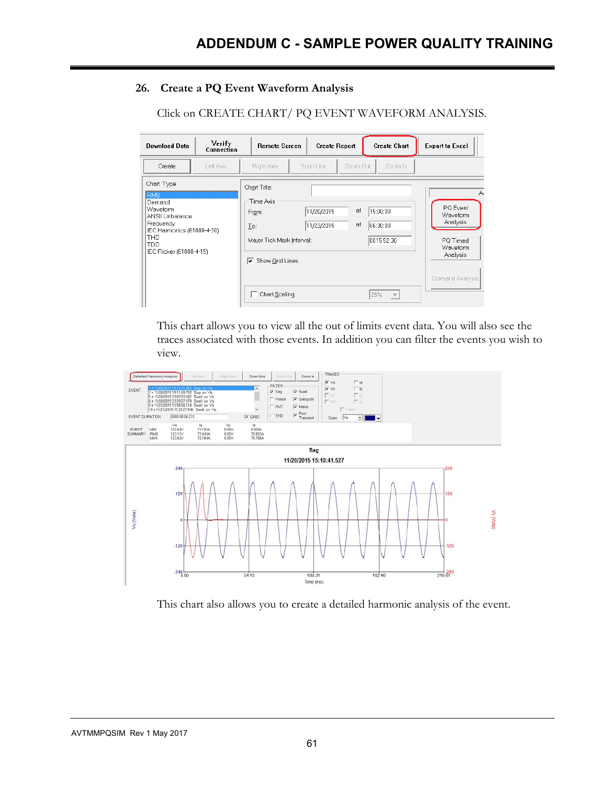### **26. Create a PQ Event Waveform Analysis**

Click on CREATE CHART/ PQ EVENT WAVEFORM ANALYSIS.

| Download Data                                                                                                                                           | Verify<br>Connection | Remote Screen                                                                                                       | <b>Create Report</b>     |          | <b>Create Chart</b>                                              | <b>Export to Excel</b>                                                                       |
|---------------------------------------------------------------------------------------------------------------------------------------------------------|----------------------|---------------------------------------------------------------------------------------------------------------------|--------------------------|----------|------------------------------------------------------------------|----------------------------------------------------------------------------------------------|
| Create                                                                                                                                                  | Left Axis            | Right Axis                                                                                                          | Scan Line                | Zoom Out | Zoom In                                                          |                                                                                              |
| Chart Type<br><b>IRMS</b><br>Demand<br>Waveform<br>ANSII Unbalance<br>Frequency<br>IEC Harmonics (61000-4-30)<br>THD<br>TDD<br>IEC Flicker (61000-4-15) |                      | Chart Title:<br>Time Axis<br>From:<br>To:<br>Major Tick Mark Interval:<br><b>▽</b> Show Grid Lines<br>Chart Scaling | 11/20/2015<br>11/23/2015 | at<br>at | 15:00:00<br>06:30:00<br>0015:52:30<br>25%<br>$\overline{\nabla}$ | А<br>PQ Event<br>Waveform<br>Analysis<br>PQ Timed<br>Waveform<br>Analysis<br>Demand Analysis |

This chart allows you to view all the out of limits event data. You will also see the traces associated with those events. In addition you can filter the events you wish to view.



This chart also allows you to create a detailed harmonic analysis of the event.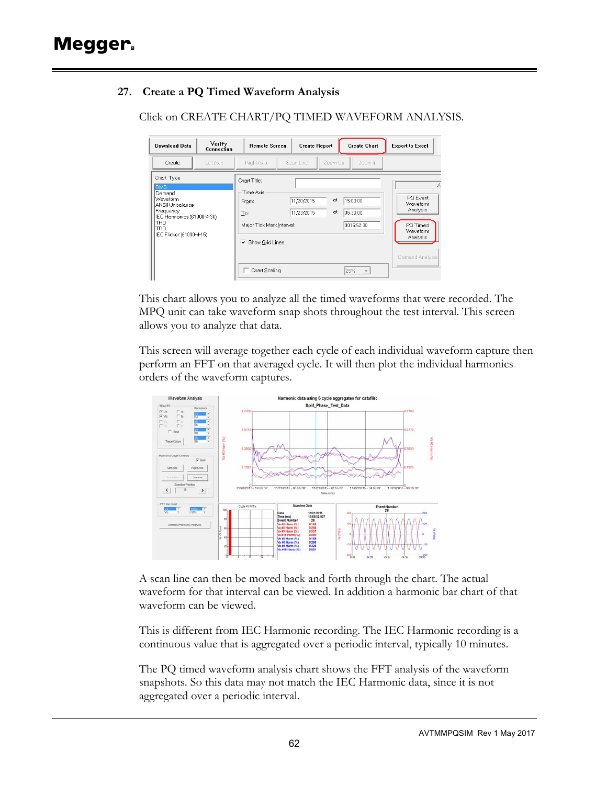#### **27. Create a PQ Timed Waveform Analysis**

Click on CREATE CHART/PQ TIMED WAVEFORM ANALYSIS.

| <b>Download Data</b>                                                                                                                                          | Verify<br>Connection | <b>Remote Screen</b>                                                                                            |                          | <b>Create Report</b> | <b>Create Chart</b>                                        | <b>Export to Excel</b>                                                                       |
|---------------------------------------------------------------------------------------------------------------------------------------------------------------|----------------------|-----------------------------------------------------------------------------------------------------------------|--------------------------|----------------------|------------------------------------------------------------|----------------------------------------------------------------------------------------------|
| Create                                                                                                                                                        | Left Axis            | Right Axis                                                                                                      | Scan Line                | Zoom Out             | Zoom In                                                    |                                                                                              |
| Chart Type<br><b>RMS</b><br>Demand<br>Waveform<br>ANSII Unbalance<br>Frequency<br>IEC Harmonics (61000-4-30)<br><b>THD</b><br>TDD<br>IEC Flicker (61000-4-15) |                      | Chart Title:<br>Time Axis<br>From:<br>To:<br>Major Tick Mark Interval:<br>⊽<br>Show Grid Lines<br>Chart Scaling | 11/20/2015<br>11/23/2015 | at<br>at             | 15:00:00<br>106:30:00<br>0015:52:30<br>25%<br>$\mathbf{v}$ | Α<br>PO Event<br>Waveform<br>Analysis<br>PO Timed<br>Waveform<br>Analysis<br>Demand Analysis |

This chart allows you to analyze all the timed waveforms that were recorded. The MPQ unit can take waveform snap shots throughout the test interval. This screen allows you to analyze that data.

This screen will average together each cycle of each individual waveform capture then perform an FFT on that averaged cycle. It will then plot the individual harmonics orders of the waveform captures.



A scan line can then be moved back and forth through the chart. The actual waveform for that interval can be viewed. In addition a harmonic bar chart of that waveform can be viewed.

This is different from IEC Harmonic recording. The IEC Harmonic recording is a continuous value that is aggregated over a periodic interval, typically 10 minutes.

The PQ timed waveform analysis chart shows the FFT analysis of the waveform snapshots. So this data may not match the IEC Harmonic data, since it is not aggregated over a periodic interval.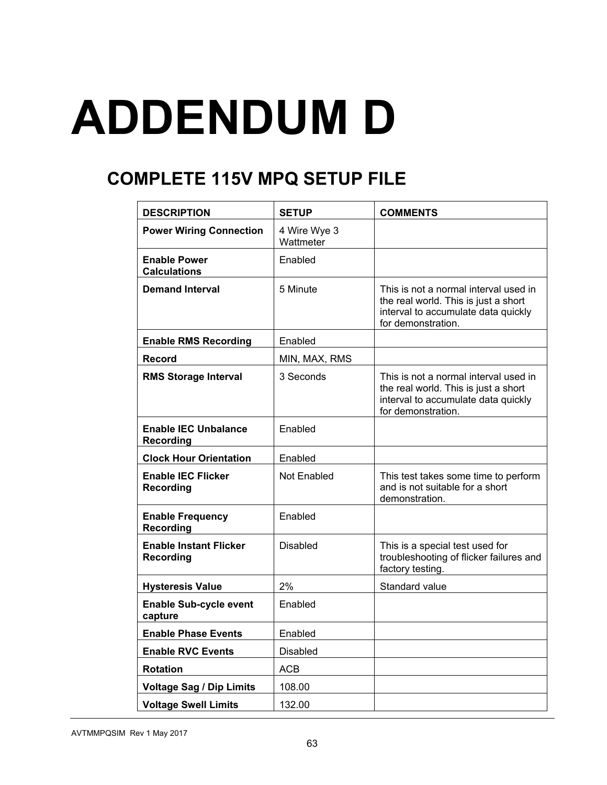# **ADDENDUM D**

## **COMPLETE 115V MPQ SETUP FILE**

| <b>DESCRIPTION</b>                                | <b>SETUP</b>              | <b>COMMENTS</b>                                                                                                                            |
|---------------------------------------------------|---------------------------|--------------------------------------------------------------------------------------------------------------------------------------------|
| <b>Power Wiring Connection</b>                    | 4 Wire Wye 3<br>Wattmeter |                                                                                                                                            |
| <b>Enable Power</b><br><b>Calculations</b>        | Enabled                   |                                                                                                                                            |
| <b>Demand Interval</b>                            | 5 Minute                  | This is not a normal interval used in<br>the real world. This is just a short<br>interval to accumulate data quickly<br>for demonstration. |
| <b>Enable RMS Recording</b>                       | Enabled                   |                                                                                                                                            |
| Record                                            | MIN, MAX, RMS             |                                                                                                                                            |
| <b>RMS Storage Interval</b>                       | 3 Seconds                 | This is not a normal interval used in<br>the real world. This is just a short<br>interval to accumulate data quickly<br>for demonstration. |
| <b>Enable IEC Unbalance</b><br><b>Recording</b>   | Enabled                   |                                                                                                                                            |
| <b>Clock Hour Orientation</b>                     | Enabled                   |                                                                                                                                            |
| <b>Enable IEC Flicker</b><br>Recording            | <b>Not Enabled</b>        | This test takes some time to perform<br>and is not suitable for a short<br>demonstration.                                                  |
| <b>Enable Frequency</b><br>Recording              | Enabled                   |                                                                                                                                            |
| <b>Enable Instant Flicker</b><br><b>Recording</b> | <b>Disabled</b>           | This is a special test used for<br>troubleshooting of flicker failures and<br>factory testing.                                             |
| <b>Hysteresis Value</b>                           | 2%                        | Standard value                                                                                                                             |
| <b>Enable Sub-cycle event</b><br>capture          | Enabled                   |                                                                                                                                            |
| <b>Enable Phase Events</b>                        | Enabled                   |                                                                                                                                            |
| <b>Enable RVC Events</b>                          | Disabled                  |                                                                                                                                            |
| <b>Rotation</b>                                   | <b>ACB</b>                |                                                                                                                                            |
| <b>Voltage Sag / Dip Limits</b>                   | 108.00                    |                                                                                                                                            |
| <b>Voltage Swell Limits</b>                       | 132.00                    |                                                                                                                                            |

AVTMMPQSIM Rev 1 May 2017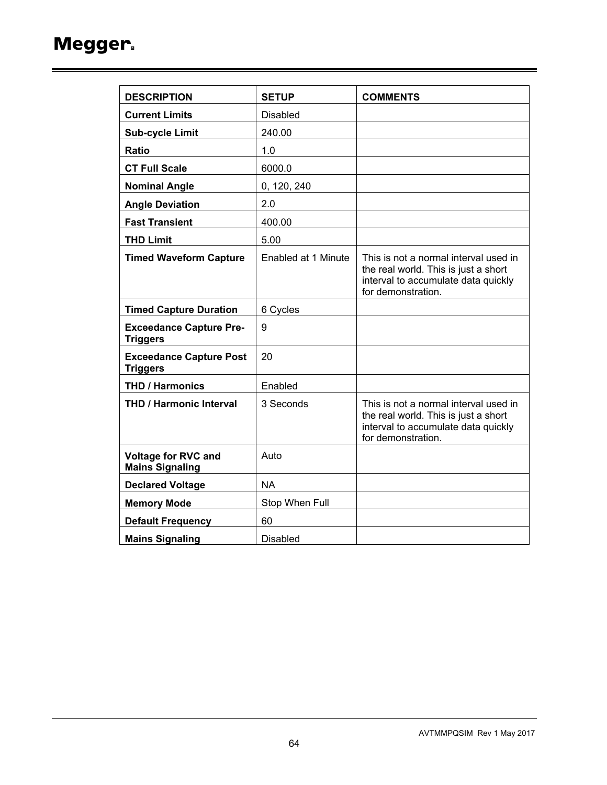## Megger.

| <b>DESCRIPTION</b>                                   | <b>SETUP</b>        | <b>COMMENTS</b>                                                                                                                            |
|------------------------------------------------------|---------------------|--------------------------------------------------------------------------------------------------------------------------------------------|
|                                                      |                     |                                                                                                                                            |
| <b>Current Limits</b>                                | <b>Disabled</b>     |                                                                                                                                            |
| <b>Sub-cycle Limit</b>                               | 240.00              |                                                                                                                                            |
| <b>Ratio</b>                                         | 1.0                 |                                                                                                                                            |
| <b>CT Full Scale</b>                                 | 6000.0              |                                                                                                                                            |
| <b>Nominal Angle</b>                                 | 0, 120, 240         |                                                                                                                                            |
| <b>Angle Deviation</b>                               | 2.0                 |                                                                                                                                            |
| <b>Fast Transient</b>                                | 400.00              |                                                                                                                                            |
| <b>THD Limit</b>                                     | 5.00                |                                                                                                                                            |
| <b>Timed Waveform Capture</b>                        | Enabled at 1 Minute | This is not a normal interval used in<br>the real world. This is just a short<br>interval to accumulate data quickly<br>for demonstration. |
| <b>Timed Capture Duration</b>                        | 6 Cycles            |                                                                                                                                            |
| <b>Exceedance Capture Pre-</b><br><b>Triggers</b>    | 9                   |                                                                                                                                            |
| <b>Exceedance Capture Post</b><br><b>Triggers</b>    | 20                  |                                                                                                                                            |
| <b>THD / Harmonics</b>                               | Enabled             |                                                                                                                                            |
| <b>THD / Harmonic Interval</b>                       | 3 Seconds           | This is not a normal interval used in<br>the real world. This is just a short<br>interval to accumulate data quickly<br>for demonstration. |
| <b>Voltage for RVC and</b><br><b>Mains Signaling</b> | Auto                |                                                                                                                                            |
| <b>Declared Voltage</b>                              | <b>NA</b>           |                                                                                                                                            |
| <b>Memory Mode</b>                                   | Stop When Full      |                                                                                                                                            |
| <b>Default Frequency</b>                             | 60                  |                                                                                                                                            |
| <b>Mains Signaling</b>                               | <b>Disabled</b>     |                                                                                                                                            |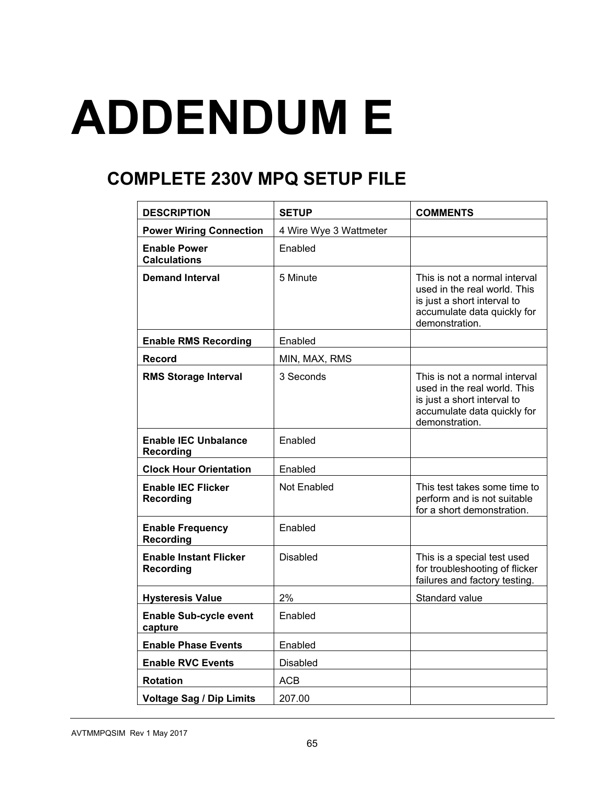# **ADDENDUM E**

### **COMPLETE 230V MPQ SETUP FILE**

| <b>DESCRIPTION</b>                          | <b>SETUP</b>           | <b>COMMENTS</b>                                                                                                                               |
|---------------------------------------------|------------------------|-----------------------------------------------------------------------------------------------------------------------------------------------|
| <b>Power Wiring Connection</b>              | 4 Wire Wye 3 Wattmeter |                                                                                                                                               |
| <b>Enable Power</b><br><b>Calculations</b>  | Enabled                |                                                                                                                                               |
| <b>Demand Interval</b>                      | 5 Minute               | This is not a normal interval<br>used in the real world. This<br>is just a short interval to<br>accumulate data quickly for<br>demonstration. |
| <b>Enable RMS Recording</b>                 | Enabled                |                                                                                                                                               |
| <b>Record</b>                               | MIN, MAX, RMS          |                                                                                                                                               |
| <b>RMS Storage Interval</b>                 | 3 Seconds              | This is not a normal interval<br>used in the real world. This<br>is just a short interval to<br>accumulate data quickly for<br>demonstration. |
| <b>Enable IEC Unbalance</b><br>Recording    | Enabled                |                                                                                                                                               |
| <b>Clock Hour Orientation</b>               | Enabled                |                                                                                                                                               |
| <b>Enable IEC Flicker</b><br>Recording      | Not Enabled            | This test takes some time to<br>perform and is not suitable<br>for a short demonstration.                                                     |
| <b>Enable Frequency</b><br><b>Recording</b> | Enabled                |                                                                                                                                               |
| <b>Enable Instant Flicker</b><br>Recording  | Disabled               | This is a special test used<br>for troubleshooting of flicker<br>failures and factory testing.                                                |
| <b>Hysteresis Value</b>                     | 2%                     | Standard value                                                                                                                                |
| <b>Enable Sub-cycle event</b><br>capture    | Enabled                |                                                                                                                                               |
| <b>Enable Phase Events</b>                  | Enabled                |                                                                                                                                               |
| <b>Enable RVC Events</b>                    | <b>Disabled</b>        |                                                                                                                                               |
| <b>Rotation</b>                             | <b>ACB</b>             |                                                                                                                                               |
| <b>Voltage Sag / Dip Limits</b>             | 207.00                 |                                                                                                                                               |